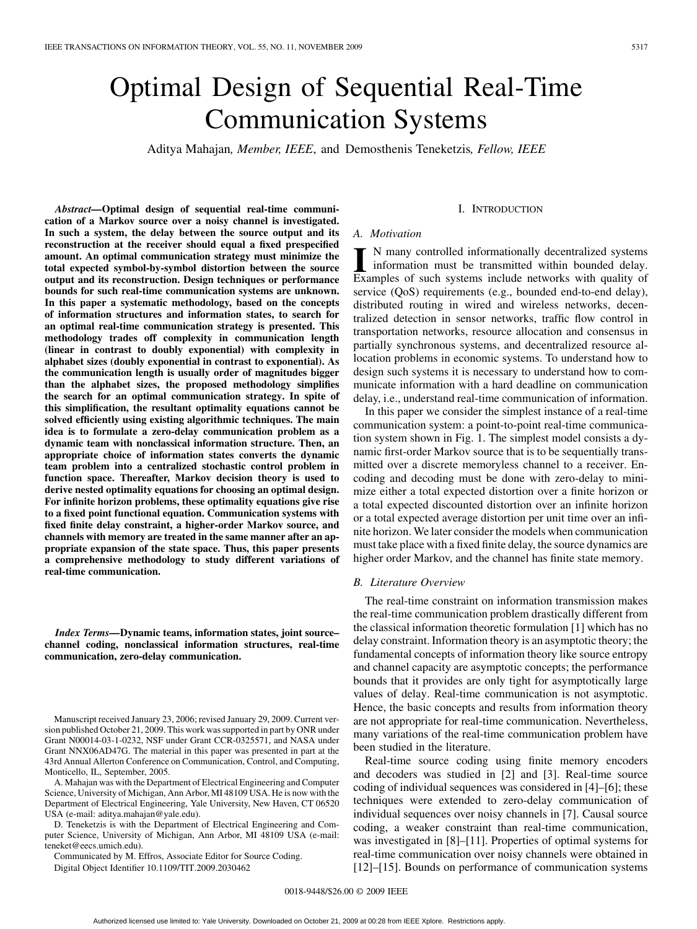# Optimal Design of Sequential Real-Time Communication Systems

Aditya Mahajan*, Member, IEEE*, and Demosthenis Teneketzis*, Fellow, IEEE*

*Abstract—***Optimal design of sequential real-time communication of a Markov source over a noisy channel is investigated. In such a system, the delay between the source output and its reconstruction at the receiver should equal a fixed prespecified amount. An optimal communication strategy must minimize the total expected symbol-by-symbol distortion between the source output and its reconstruction. Design techniques or performance bounds for such real-time communication systems are unknown. In this paper a systematic methodology, based on the concepts of information structures and information states, to search for an optimal real-time communication strategy is presented. This methodology trades off complexity in communication length (linear in contrast to doubly exponential) with complexity in alphabet sizes (doubly exponential in contrast to exponential). As the communication length is usually order of magnitudes bigger than the alphabet sizes, the proposed methodology simplifies the search for an optimal communication strategy. In spite of this simplification, the resultant optimality equations cannot be solved efficiently using existing algorithmic techniques. The main idea is to formulate a zero-delay communication problem as a dynamic team with nonclassical information structure. Then, an appropriate choice of information states converts the dynamic team problem into a centralized stochastic control problem in function space. Thereafter, Markov decision theory is used to derive nested optimality equations for choosing an optimal design. For infinite horizon problems, these optimality equations give rise to a fixed point functional equation. Communication systems with fixed finite delay constraint, a higher-order Markov source, and channels with memory are treated in the same manner after an appropriate expansion of the state space. Thus, this paper presents a comprehensive methodology to study different variations of real-time communication.**

*Index Terms—***Dynamic teams, information states, joint source– channel coding, nonclassical information structures, real-time communication, zero-delay communication.**

Manuscript received January 23, 2006; revised January 29, 2009. Current version published October 21, 2009. This work was supported in part by ONR under Grant N00014-03-1-0232, NSF under Grant CCR-0325571, and NASA under Grant NNX06AD47G. The material in this paper was presented in part at the 43rd Annual Allerton Conference on Communication, Control, and Computing, Monticello, IL, September, 2005.

A. Mahajan was with the Department of Electrical Engineering and Computer Science, University of Michigan, Ann Arbor, MI 48109 USA. He is now with the Department of Electrical Engineering, Yale University, New Haven, CT 06520 USA (e-mail: aditya.mahajan@yale.edu).

D. Teneketzis is with the Department of Electrical Engineering and Computer Science, University of Michigan, Ann Arbor, MI 48109 USA (e-mail: teneket@eecs.umich.edu).

Communicated by M. Effros, Associate Editor for Source Coding. Digital Object Identifier 10.1109/TIT.2009.2030462

#### I. INTRODUCTION

## *A. Motivation*

**I** N many controlled informationally decentralized systems information must be transmitted within bounded delay. Examples of such systems include networks with quality of service (QoS) requirements (e.g., bounded end-to-end delay), distributed routing in wired and wireless networks, decentralized detection in sensor networks, traffic flow control in transportation networks, resource allocation and consensus in partially synchronous systems, and decentralized resource allocation problems in economic systems. To understand how to design such systems it is necessary to understand how to communicate information with a hard deadline on communication delay, i.e., understand real-time communication of information.

In this paper we consider the simplest instance of a real-time communication system: a point-to-point real-time communication system shown in Fig. 1. The simplest model consists a dynamic first-order Markov source that is to be sequentially transmitted over a discrete memoryless channel to a receiver. Encoding and decoding must be done with zero-delay to minimize either a total expected distortion over a finite horizon or a total expected discounted distortion over an infinite horizon or a total expected average distortion per unit time over an infinite horizon. We later consider the models when communication must take place with a fixed finite delay, the source dynamics are higher order Markov, and the channel has finite state memory.

#### *B. Literature Overview*

The real-time constraint on information transmission makes the real-time communication problem drastically different from the classical information theoretic formulation [1] which has no delay constraint. Information theory is an asymptotic theory; the fundamental concepts of information theory like source entropy and channel capacity are asymptotic concepts; the performance bounds that it provides are only tight for asymptotically large values of delay. Real-time communication is not asymptotic. Hence, the basic concepts and results from information theory are not appropriate for real-time communication. Nevertheless, many variations of the real-time communication problem have been studied in the literature.

Real-time source coding using finite memory encoders and decoders was studied in [2] and [3]. Real-time source coding of individual sequences was considered in [4]–[6]; these techniques were extended to zero-delay communication of individual sequences over noisy channels in [7]. Causal source coding, a weaker constraint than real-time communication, was investigated in [8]–[11]. Properties of optimal systems for real-time communication over noisy channels were obtained in [12]–[15]. Bounds on performance of communication systems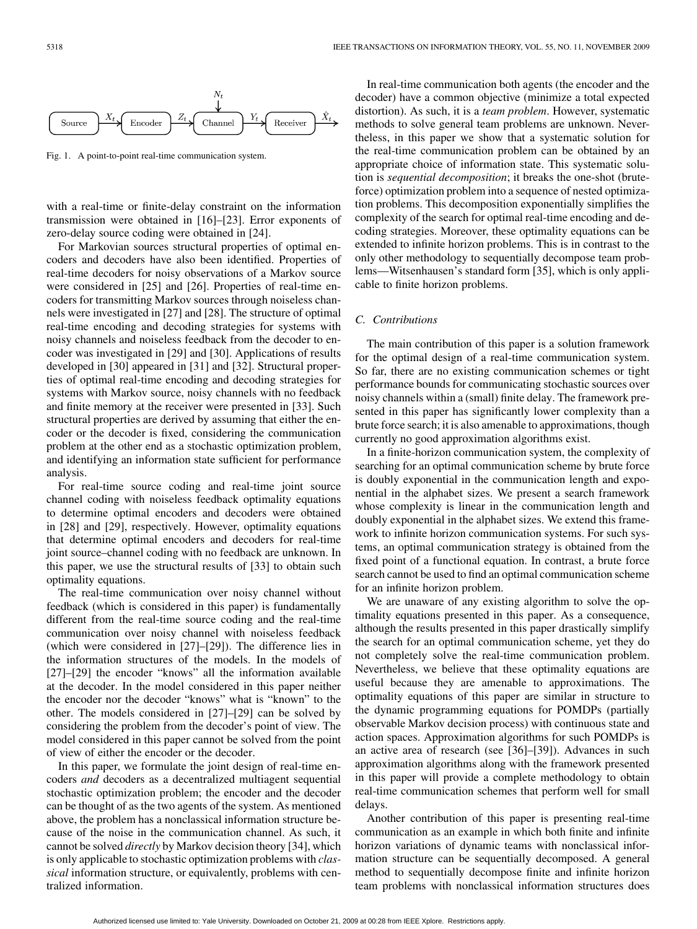

Fig. 1. A point-to-point real-time communication system.

with a real-time or finite-delay constraint on the information transmission were obtained in [16]–[23]. Error exponents of zero-delay source coding were obtained in [24].

For Markovian sources structural properties of optimal encoders and decoders have also been identified. Properties of real-time decoders for noisy observations of a Markov source were considered in [25] and [26]. Properties of real-time encoders for transmitting Markov sources through noiseless channels were investigated in [27] and [28]. The structure of optimal real-time encoding and decoding strategies for systems with noisy channels and noiseless feedback from the decoder to encoder was investigated in [29] and [30]. Applications of results developed in [30] appeared in [31] and [32]. Structural properties of optimal real-time encoding and decoding strategies for systems with Markov source, noisy channels with no feedback and finite memory at the receiver were presented in [33]. Such structural properties are derived by assuming that either the encoder or the decoder is fixed, considering the communication problem at the other end as a stochastic optimization problem, and identifying an information state sufficient for performance analysis.

For real-time source coding and real-time joint source channel coding with noiseless feedback optimality equations to determine optimal encoders and decoders were obtained in [28] and [29], respectively. However, optimality equations that determine optimal encoders and decoders for real-time joint source–channel coding with no feedback are unknown. In this paper, we use the structural results of [33] to obtain such optimality equations.

The real-time communication over noisy channel without feedback (which is considered in this paper) is fundamentally different from the real-time source coding and the real-time communication over noisy channel with noiseless feedback (which were considered in [27]–[29]). The difference lies in the information structures of the models. In the models of [27]–[29] the encoder "knows" all the information available at the decoder. In the model considered in this paper neither the encoder nor the decoder "knows" what is "known" to the other. The models considered in [27]–[29] can be solved by considering the problem from the decoder's point of view. The model considered in this paper cannot be solved from the point of view of either the encoder or the decoder.

In this paper, we formulate the joint design of real-time encoders *and* decoders as a decentralized multiagent sequential stochastic optimization problem; the encoder and the decoder can be thought of as the two agents of the system. As mentioned above, the problem has a nonclassical information structure because of the noise in the communication channel. As such, it cannot be solved *directly* by Markov decision theory [34], which is only applicable to stochastic optimization problems with *classical* information structure, or equivalently, problems with centralized information.

In real-time communication both agents (the encoder and the decoder) have a common objective (minimize a total expected distortion). As such, it is a *team problem*. However, systematic methods to solve general team problems are unknown. Nevertheless, in this paper we show that a systematic solution for the real-time communication problem can be obtained by an appropriate choice of information state. This systematic solution is *sequential decomposition*; it breaks the one-shot (bruteforce) optimization problem into a sequence of nested optimization problems. This decomposition exponentially simplifies the complexity of the search for optimal real-time encoding and decoding strategies. Moreover, these optimality equations can be extended to infinite horizon problems. This is in contrast to the only other methodology to sequentially decompose team problems—Witsenhausen's standard form [35], which is only applicable to finite horizon problems.

#### *C. Contributions*

The main contribution of this paper is a solution framework for the optimal design of a real-time communication system. So far, there are no existing communication schemes or tight performance bounds for communicating stochastic sources over noisy channels within a (small) finite delay. The framework presented in this paper has significantly lower complexity than a brute force search; it is also amenable to approximations, though currently no good approximation algorithms exist.

In a finite-horizon communication system, the complexity of searching for an optimal communication scheme by brute force is doubly exponential in the communication length and exponential in the alphabet sizes. We present a search framework whose complexity is linear in the communication length and doubly exponential in the alphabet sizes. We extend this framework to infinite horizon communication systems. For such systems, an optimal communication strategy is obtained from the fixed point of a functional equation. In contrast, a brute force search cannot be used to find an optimal communication scheme for an infinite horizon problem.

We are unaware of any existing algorithm to solve the optimality equations presented in this paper. As a consequence, although the results presented in this paper drastically simplify the search for an optimal communication scheme, yet they do not completely solve the real-time communication problem. Nevertheless, we believe that these optimality equations are useful because they are amenable to approximations. The optimality equations of this paper are similar in structure to the dynamic programming equations for POMDPs (partially observable Markov decision process) with continuous state and action spaces. Approximation algorithms for such POMDPs is an active area of research (see [36]–[39]). Advances in such approximation algorithms along with the framework presented in this paper will provide a complete methodology to obtain real-time communication schemes that perform well for small delays.

Another contribution of this paper is presenting real-time communication as an example in which both finite and infinite horizon variations of dynamic teams with nonclassical information structure can be sequentially decomposed. A general method to sequentially decompose finite and infinite horizon team problems with nonclassical information structures does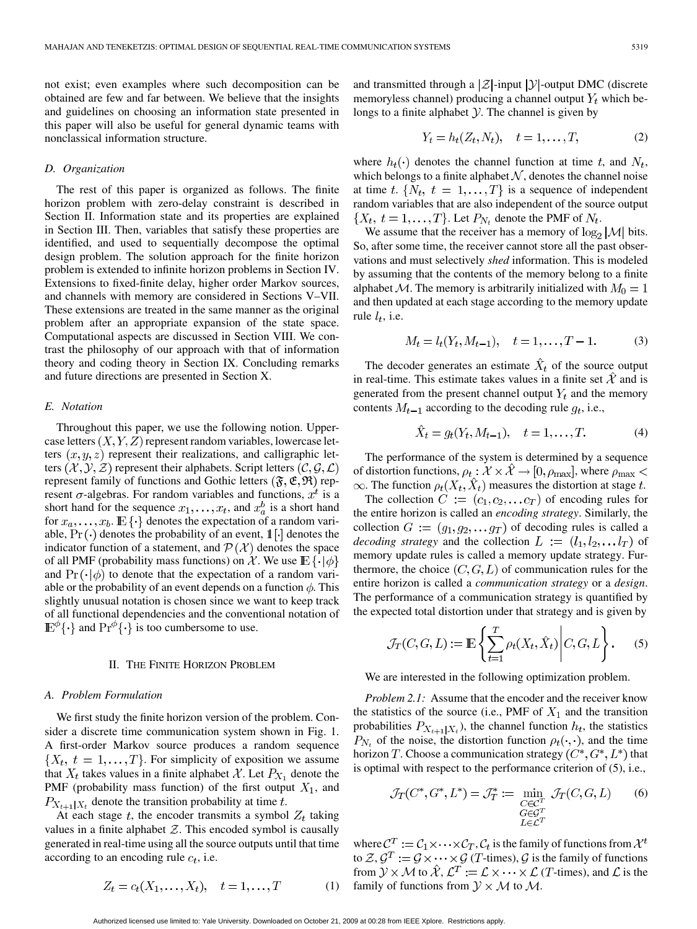not exist; even examples where such decomposition can be obtained are few and far between. We believe that the insights and guidelines on choosing an information state presented in this paper will also be useful for general dynamic teams with nonclassical information structure.

#### *D. Organization*

The rest of this paper is organized as follows. The finite horizon problem with zero-delay constraint is described in Section II. Information state and its properties are explained in Section III. Then, variables that satisfy these properties are identified, and used to sequentially decompose the optimal design problem. The solution approach for the finite horizon problem is extended to infinite horizon problems in Section IV. Extensions to fixed-finite delay, higher order Markov sources, and channels with memory are considered in Sections V–VII. These extensions are treated in the same manner as the original problem after an appropriate expansion of the state space. Computational aspects are discussed in Section VIII. We contrast the philosophy of our approach with that of information theory and coding theory in Section IX. Concluding remarks and future directions are presented in Section X.

## *E. Notation*

Throughout this paper, we use the following notion. Uppercase letters  $(X, Y, Z)$  represent random variables, lowercase letters  $(x, y, z)$  represent their realizations, and calligraphic letters  $(\mathcal{X}, \mathcal{Y}, \mathcal{Z})$  represent their alphabets. Script letters  $(\mathcal{C}, \mathcal{G}, \mathcal{L})$ represent family of functions and Gothic letters  $(\mathfrak{F}, \mathfrak{E}, \mathfrak{R})$  represent  $\sigma$ -algebras. For random variables and functions,  $x^t$  is a short hand for the sequence  $x_1, \ldots, x_t$ , and  $x_a^b$  is a short hand for  $x_a, \ldots, x_b$ .  $\mathbb{E}\left\{\cdot\right\}$  denotes the expectation of a random variable,  $Pr(\cdot)$  denotes the probability of an event,  $\mathbb{1}[\cdot]$  denotes the indicator function of a statement, and  $\mathcal{P}(\mathcal{X})$  denotes the space of all PMF (probability mass functions) on X. We use  $\mathbb{E}\{\cdot|\phi\}$ and  $\Pr(\cdot | \phi)$  to denote that the expectation of a random variable or the probability of an event depends on a function  $\phi$ . This slightly unusual notation is chosen since we want to keep track of all functional dependencies and the conventional notation of  $\mathbb{E}^{\varphi} \{\cdot\}$  and  $\Pr^{\varphi} \{\cdot\}$  is too cumbersome to use.

## II. THE FINITE HORIZON PROBLEM

#### *A. Problem Formulation*

We first study the finite horizon version of the problem. Consider a discrete time communication system shown in Fig. 1. A first-order Markov source produces a random sequence  $\{X_t, t = 1, \ldots, T\}$ . For simplicity of exposition we assume that  $X_t$  takes values in a finite alphabet X. Let  $P_{X_1}$  denote the PMF (probability mass function) of the first output  $X_1$ , and  $P_{X_{t+1}|X_t}$  denote the transition probability at time t.

At each stage  $t$ , the encoder transmits a symbol  $Z_t$  taking values in a finite alphabet  $Z$ . This encoded symbol is causally generated in real-time using all the source outputs until that time according to an encoding rule  $c_t$ , i.e.

> $Z_t = c_t(X_1, \ldots, X_t), \quad t = 1, \ldots, T$ (1)

and transmitted through a  $|\mathcal{Z}|$ -input  $|\mathcal{Y}|$ -output DMC (discrete memoryless channel) producing a channel output  $Y_t$  which belongs to a finite alphabet  $Y$ . The channel is given by

$$
Y_t = h_t(Z_t, N_t), \quad t = 1, \dots, T,
$$
\n<sup>(2)</sup>

where  $h_t(\cdot)$  denotes the channel function at time t, and  $N_t$ , which belongs to a finite alphabet  $N$ , denotes the channel noise at time t.  $\{N_t, t = 1, \ldots, T\}$  is a sequence of independent random variables that are also independent of the source output  $\{X_t, t = 1, \ldots, T\}$ . Let  $P_{N_t}$  denote the PMF of  $N_t$ .

We assume that the receiver has a memory of  $\log_2 |\mathcal{M}|$  bits. So, after some time, the receiver cannot store all the past observations and must selectively *shed* information. This is modeled by assuming that the contents of the memory belong to a finite alphabet M. The memory is arbitrarily initialized with  $M_0 = 1$ and then updated at each stage according to the memory update rule  $l_t$ , i.e.

$$
M_t = l_t(Y_t, M_{t-1}), \quad t = 1, \dots, T-1.
$$
 (3)

The decoder generates an estimate  $\hat{X}_t$  of the source output in real-time. This estimate takes values in a finite set  $\hat{\mathcal{X}}$  and is generated from the present channel output  $Y_t$  and the memory contents  $M_{t-1}$  according to the decoding rule  $g_t$ , i.e.,

$$
\hat{X}_t = g_t(Y_t, M_{t-1}), \quad t = 1, \dots, T.
$$
 (4)

The performance of the system is determined by a sequence of distortion functions,  $\rho_t : \mathcal{X} \times \mathcal{X} \to [0, \rho_{\text{max}}]$ , where  $\rho_{\text{max}} <$  $\infty$ . The function  $\rho_t(X_t, \hat{X}_t)$  measures the distortion at stage t.

The collection  $C := (c_1, c_2, \dots, c_T)$  of encoding rules for the entire horizon is called an *encoding strategy*. Similarly, the collection  $G := (g_1, g_2, \dots g_T)$  of decoding rules is called a *decoding strategy* and the collection  $L := (l_1, l_2, \dots l_T)$  of memory update rules is called a memory update strategy. Furthermore, the choice  $(C, G, L)$  of communication rules for the entire horizon is called a *communication strategy* or a *design*. The performance of a communication strategy is quantified by the expected total distortion under that strategy and is given by

$$
\mathcal{J}_T(C, G, L) := \mathbb{E}\left\{\sum_{t=1}^T \rho_t(X_t, \hat{X}_t) \middle| C, G, L\right\}.
$$
 (5)

We are interested in the following optimization problem.

*Problem 2.1:* Assume that the encoder and the receiver know the statistics of the source (i.e., PMF of  $X_1$  and the transition probabilities  $P_{X_{t+1}|X_t}$ , the channel function  $h_t$ , the statistics  $P_{N_t}$  of the noise, the distortion function  $\rho_t(\cdot, \cdot)$ , and the time horizon T. Choose a communication strategy  $(C^*, G^*, L^*)$  that is optimal with respect to the performance criterion of (5), i.e.,

$$
\mathcal{J}_T(C^*, G^*, L^*) = \mathcal{J}_T^* := \min_{\substack{C \in \mathcal{C}^T \\ G \in \mathcal{G}^T \\ L \in \mathcal{L}^T}} \mathcal{J}_T(C, G, L) \tag{6}
$$

where  $C^T := C_1 \times \cdots \times C_T$ ,  $C_t$  is the family of functions from  $\mathcal{X}^t$ to  $Z, \mathcal{G}^T := \mathcal{G} \times \cdots \times \mathcal{G}$  (*T*-times),  $\mathcal{G}$  is the family of functions from  $\mathcal{Y} \times \mathcal{M}$  to  $\hat{\mathcal{X}}, \mathcal{L}^T := \mathcal{L} \times \cdots \times \mathcal{L}$  (*T*-times), and  $\mathcal{L}$  is the family of functions from  $\mathcal{Y} \times \mathcal{M}$  to  $\mathcal{M}$ .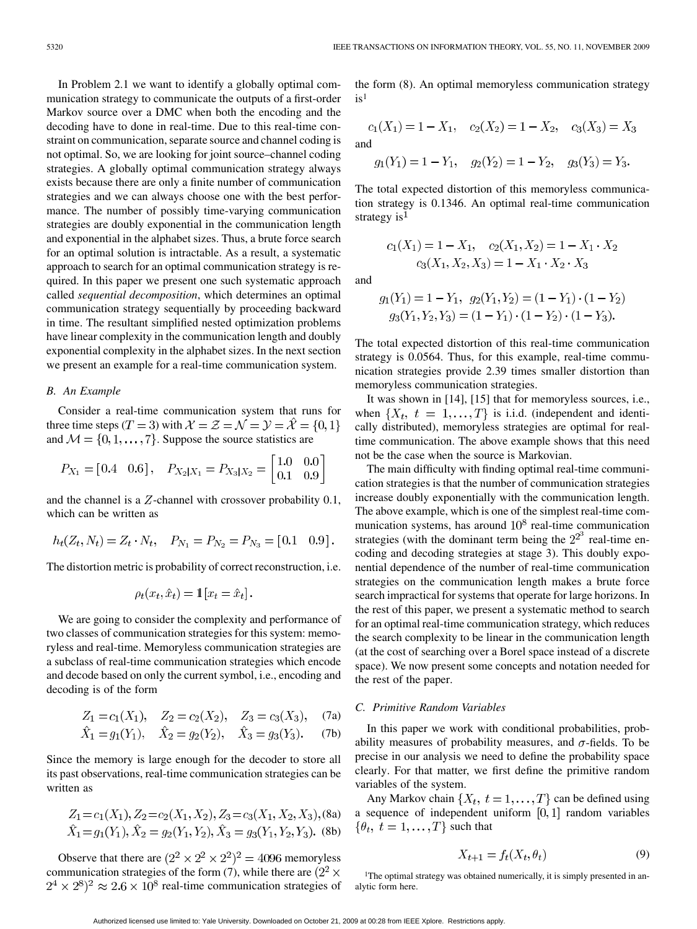In Problem 2.1 we want to identify a globally optimal communication strategy to communicate the outputs of a first-order Markov source over a DMC when both the encoding and the decoding have to done in real-time. Due to this real-time constraint on communication, separate source and channel coding is not optimal. So, we are looking for joint source–channel coding strategies. A globally optimal communication strategy always exists because there are only a finite number of communication strategies and we can always choose one with the best performance. The number of possibly time-varying communication strategies are doubly exponential in the communication length and exponential in the alphabet sizes. Thus, a brute force search for an optimal solution is intractable. As a result, a systematic approach to search for an optimal communication strategy is required. In this paper we present one such systematic approach called *sequential decomposition*, which determines an optimal communication strategy sequentially by proceeding backward in time. The resultant simplified nested optimization problems have linear complexity in the communication length and doubly exponential complexity in the alphabet sizes. In the next section we present an example for a real-time communication system.

## *B. An Example*

Consider a real-time communication system that runs for three time steps (T = 3) with  $\mathcal{X} = \mathcal{Z} = \mathcal{N} = \mathcal{Y} = \mathcal{\hat{X}} = \{0, 1\}$ and  $M = \{0, 1, \dots, 7\}$ . Suppose the source statistics are

$$
P_{X_1} = [0.4 \quad 0.6], \quad P_{X_2|X_1} = P_{X_3|X_2} = \begin{bmatrix} 1.0 & 0.0 \\ 0.1 & 0.9 \end{bmatrix}
$$

and the channel is a  $Z$ -channel with crossover probability  $0.1$ , which can be written as

$$
h_t(Z_t, N_t) = Z_t \cdot N_t
$$
,  $P_{N_1} = P_{N_2} = P_{N_3} = [0.1 \ 0.9]$ .

The distortion metric is probability of correct reconstruction, i.e.

$$
\rho_t(x_t, \hat{x}_t) = \mathbf{1}[x_t = \hat{x}_t].
$$

We are going to consider the complexity and performance of two classes of communication strategies for this system: memoryless and real-time. Memoryless communication strategies are a subclass of real-time communication strategies which encode and decode based on only the current symbol, i.e., encoding and decoding is of the form

$$
Z_1 = c_1(X_1), \quad Z_2 = c_2(X_2), \quad Z_3 = c_3(X_3), \quad (7a)
$$

$$
X_1 = g_1(Y_1), \quad X_2 = g_2(Y_2), \quad X_3 = g_3(Y_3).
$$
 (7b)

Since the memory is large enough for the decoder to store all its past observations, real-time communication strategies can be written as

$$
Z_1 = c_1(X_1), Z_2 = c_2(X_1, X_2), Z_3 = c_3(X_1, X_2, X_3), (8a)
$$
  

$$
\hat{X}_1 = g_1(Y_1), \hat{X}_2 = g_2(Y_1, Y_2), \hat{X}_3 = g_3(Y_1, Y_2, Y_3). (8b)
$$

Observe that there are  $(2^2 \times 2^2 \times 2^2)^2 = 4096$  memoryless communication strategies of the form (7), while there are  $(2^2 \times$  $(2^4 \times 2^8)^2 \approx 2.6 \times 10^8$  real-time communication strategies of

the form (8). An optimal memoryless communication strategy  $is<sup>1</sup>$ 

$$
c_1(X_1) = 1 - X_1, \quad c_2(X_2) = 1 - X_2, \quad c_3(X_3) = X_3
$$
  
and  

$$
g_1(Y_1) = 1 - Y_1, \quad g_2(Y_2) = 1 - Y_2, \quad g_3(Y_3) = Y_3.
$$

The total expected distortion of this memoryless communication strategy is 0.1346. An optimal real-time communication strategy is $<sup>1</sup>$ </sup>

 $c_1(X_1) = 1 - X_1, \quad c_2(X_1, X_2) = 1 - X_1 \cdot X_2$ 

$$
c_3(X_1, X_2, X_3) = 1 - X_1 \cdot X_2 \cdot X_3
$$

and

$$
g_1(Y_1) = 1 - Y_1, \ g_2(Y_1, Y_2) = (1 - Y_1) \cdot (1 - Y_2)
$$

$$
g_3(Y_1, Y_2, Y_3) = (1 - Y_1) \cdot (1 - Y_2) \cdot (1 - Y_3).
$$

The total expected distortion of this real-time communication strategy is 0.0564. Thus, for this example, real-time communication strategies provide 2.39 times smaller distortion than memoryless communication strategies.

It was shown in [14], [15] that for memoryless sources, i.e., when  $\{X_t, t = 1, \ldots, T\}$  is i.i.d. (independent and identically distributed), memoryless strategies are optimal for realtime communication. The above example shows that this need not be the case when the source is Markovian.

The main difficulty with finding optimal real-time communication strategies is that the number of communication strategies increase doubly exponentially with the communication length. The above example, which is one of the simplest real-time communication systems, has around  $10^8$  real-time communication strategies (with the dominant term being the  $2^{2^{\circ}}$  real-time encoding and decoding strategies at stage 3). This doubly exponential dependence of the number of real-time communication strategies on the communication length makes a brute force search impractical for systems that operate for large horizons. In the rest of this paper, we present a systematic method to search for an optimal real-time communication strategy, which reduces the search complexity to be linear in the communication length (at the cost of searching over a Borel space instead of a discrete space). We now present some concepts and notation needed for the rest of the paper.

# *C. Primitive Random Variables*

In this paper we work with conditional probabilities, probability measures of probability measures, and  $\sigma$ -fields. To be precise in our analysis we need to define the probability space clearly. For that matter, we first define the primitive random variables of the system.

Any Markov chain  $\{X_t, t = 1, \ldots, T\}$  can be defined using a sequence of independent uniform  $[0,1]$  random variables  $\{\theta_t, t = 1, \ldots, T\}$  such that

$$
X_{t+1} = f_t(X_t, \theta_t) \tag{9}
$$

<sup>1</sup>The optimal strategy was obtained numerically, it is simply presented in analytic form here.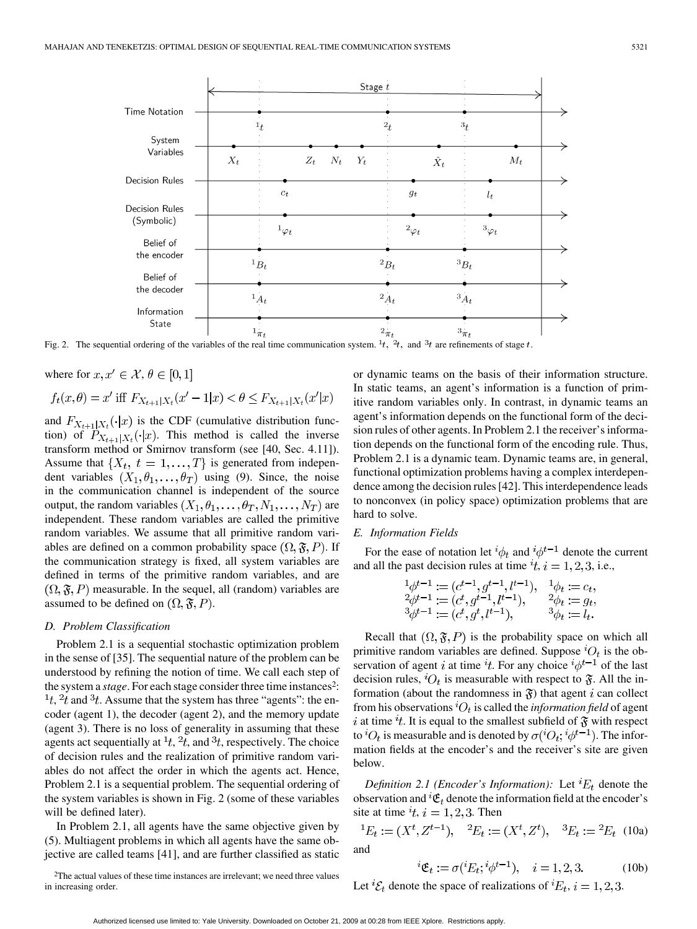

Fig. 2. The sequential ordering of the variables of the real time communication system.  $^{1}t$ ,  $^{2}t$ , and  $^{3}t$  are refinements of stage t.

where for  $x, x' \in \mathcal{X}, \theta \in [0,1]$ 

$$
f_t(x, \theta) = x'
$$
 iff  $F_{X_{t+1}|X_t}(x'-1|x) < \theta \le F_{X_{t+1}|X_t}(x'|x)$ 

and  $F_{X_{t+1}|X_t}(\cdot|x)$  is the CDF (cumulative distribution function) of  $P_{X_{t+1}|X_t}(\cdot|x)$ . This method is called the inverse transform method or Smirnov transform (see [40, Sec. 4.11]). Assume that  $\{X_t, t = 1, \ldots, T\}$  is generated from independent variables  $(X_1, \theta_1, \dots, \theta_T)$  using (9). Since, the noise in the communication channel is independent of the source output, the random variables  $(X_1, \theta_1, \ldots, \theta_T, N_1, \ldots, N_T)$  are independent. These random variables are called the primitive random variables. We assume that all primitive random variables are defined on a common probability space  $(\Omega, \mathfrak{F}, P)$ . If the communication strategy is fixed, all system variables are defined in terms of the primitive random variables, and are  $(\Omega, \mathfrak{F}, P)$  measurable. In the sequel, all (random) variables are assumed to be defined on  $(\Omega, \mathfrak{F}, P)$ .

#### *D. Problem Classification*

Problem 2.1 is a sequential stochastic optimization problem in the sense of [35]. The sequential nature of the problem can be understood by refining the notion of time. We call each step of the system a *stage*. For each stage consider three time instances2:  $\frac{1}{1}t$ ,  $\frac{2}{t}t$  and  $\frac{3}{t}$ . Assume that the system has three "agents": the encoder (agent 1), the decoder (agent 2), and the memory update (agent 3). There is no loss of generality in assuming that these agents act sequentially at  $\frac{1}{t}$ ,  $\frac{2}{t}$ , and  $\frac{3}{t}$ , respectively. The choice of decision rules and the realization of primitive random variables do not affect the order in which the agents act. Hence, Problem 2.1 is a sequential problem. The sequential ordering of the system variables is shown in Fig. 2 (some of these variables will be defined later).

In Problem 2.1, all agents have the same objective given by (5). Multiagent problems in which all agents have the same objective are called teams [41], and are further classified as static

2The actual values of these time instances are irrelevant; we need three values in increasing order.

or dynamic teams on the basis of their information structure. In static teams, an agent's information is a function of primitive random variables only. In contrast, in dynamic teams an agent's information depends on the functional form of the decision rules of other agents. In Problem 2.1 the receiver's information depends on the functional form of the encoding rule. Thus, Problem 2.1 is a dynamic team. Dynamic teams are, in general, functional optimization problems having a complex interdependence among the decision rules [42]. This interdependence leads to nonconvex (in policy space) optimization problems that are hard to solve.

## *E. Information Fields*

For the ease of notation let  ${}^{i}\phi_t$  and  ${}^{i}\phi^{t-1}$  denote the current and all the past decision rules at time  $t$ ,  $i = 1, 2, 3$ , i.e.,

$$
{}^{1}\phi^{t-1} := (c^{t-1}, g^{t-1}, l^{t-1}), \quad {}^{1}\phi_t := c_t, \n{}^{2}\phi^{t-1} := (c^t, g^{t-1}, l^{t-1}), \quad {}^{2}\phi_t := g_t, \n{}^{3}\phi^{t-1} := (c^t, g^t, l^{t-1}), \quad {}^{3}\phi_t := l_t.
$$

Recall that  $(\Omega, \mathfrak{F}, P)$  is the probability space on which all primitive random variables are defined. Suppose  ${}^{i}O_{t}$  is the observation of agent i at time  $i_t$ . For any choice  $i_{\phi}t-1$  of the last decision rules,  ${}^{i}O_{t}$  is measurable with respect to  $\mathfrak{F}$ . All the information (about the randomness in  $\mathfrak{F}$ ) that agent i can collect from his observations  ${}^{i}O_{t}$  is called the *information field* of agent i at time  $\dot{t}$ . It is equal to the smallest subfield of  $\mathfrak{F}$  with respect to  ${}^{i}O_{t}$  is measurable and is denoted by  $\sigma({}^{i}O_{t};{}^{i}\phi^{t-1})$ . The information fields at the encoder's and the receiver's site are given below.

*Definition 2.1 (Encoder's Information):* Let  ${}^{i}E_{t}$  denote the observation and  ${}^{i}\mathfrak{E}_{t}$  denote the information field at the encoder's site at time  $it$ ,  $i = 1, 2, 3$ . Then

$$
{}^{1}E_{t} := (X^{t}, Z^{t-1}), \quad {}^{2}E_{t} := (X^{t}, Z^{t}), \quad {}^{3}E_{t} := {}^{2}E_{t} \tag{10a}
$$
 and

$$
{}^{i}\mathfrak{E}_{t} := \sigma({}^{i}E_{t}; {}^{i}\phi^{t-1}), \quad i = 1, 2, 3. \tag{10b}
$$

Let  ${}^{i}\mathcal{E}_{t}$  denote the space of realizations of  ${}^{i}E_{t}$ ,  $i = 1, 2, 3$ .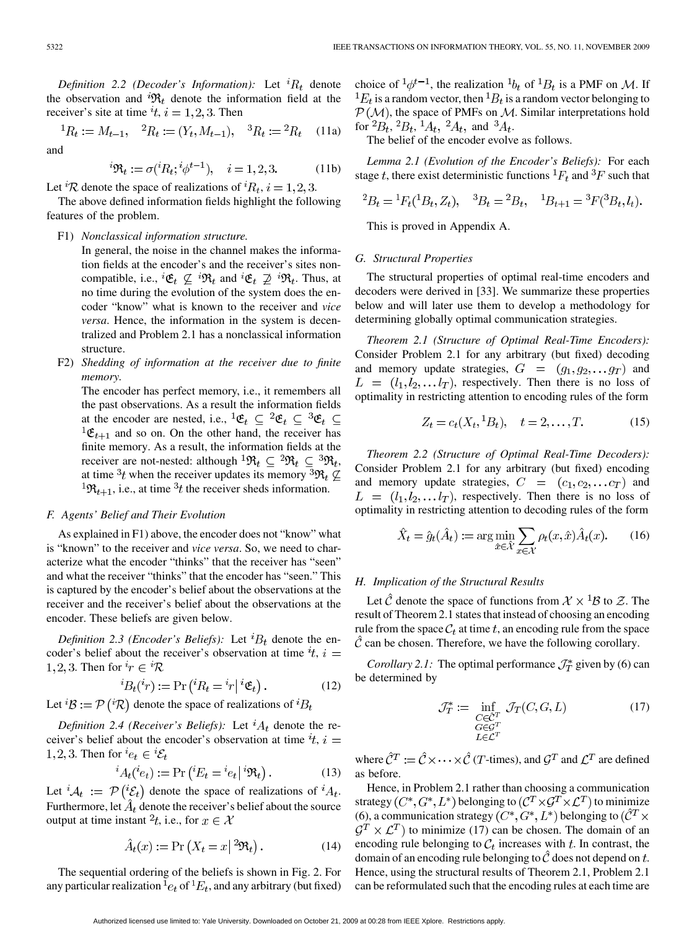*Definition 2.2 (Decoder's Information):* Let  ${}^{i}R_{t}$  denote the observation and  ${}^{i}\mathfrak{R}_t$  denote the information field at the receiver's site at time  $i, i = 1, 2, 3$ . Then

$$
{}^{1}R_{t} := M_{t-1}, \quad {}^{2}R_{t} := (Y_{t}, M_{t-1}), \quad {}^{3}R_{t} := {}^{2}R_{t} \quad (11a)
$$
  
and

$$
{}^i\mathfrak{R}_t:=\sigma({}^iR_t;{}^i\phi^{t-1}),\quad i=1,2,3. \eqno(11b)
$$

Let <sup>*i*</sup>R denote the space of realizations of *<sup>i</sup>R*<sub>t</sub>, *i* = 1, 2, 3.

The above defined information fields highlight the following features of the problem.

## F1) *Nonclassical information structure.*

In general, the noise in the channel makes the information fields at the encoder's and the receiver's sites noncompatible, i.e.,  ${}^{i}\mathfrak{E}_{t} \not\subseteq {}^{i}\mathfrak{R}_{t}$  and  ${}^{i}\mathfrak{E}_{t} \not\supseteq {}^{i}\mathfrak{R}_{t}$ . Thus, at no time during the evolution of the system does the encoder "know" what is known to the receiver and *vice versa*. Hence, the information in the system is decentralized and Problem 2.1 has a nonclassical information structure.

F2) *Shedding of information at the receiver due to finite memory.*

The encoder has perfect memory, i.e., it remembers all the past observations. As a result the information fields at the encoder are nested, i.e.,  ${}^1\mathfrak{E}_t \subseteq {}^2\mathfrak{E}_t \subseteq {}^3\mathfrak{E}_t \subseteq$  ${}^{1}\mathfrak{E}_{t+1}$  and so on. On the other hand, the receiver has finite memory. As a result, the information fields at the receiver are not-nested: although  ${}^1\mathfrak{R}_t \subseteq {}^2\mathfrak{R}_t \subseteq {}^3\mathfrak{R}_t$ , at time  ${}^{3}t$  when the receiver updates its memory  ${}^{3}\mathfrak{R}_t \not\subseteq$  ${}^{1}\mathfrak{R}_{t+1}$ , i.e., at time  ${}^{3}t$  the receiver sheds information.

## *F. Agents' Belief and Their Evolution*

As explained in F1) above, the encoder does not "know" what is "known" to the receiver and *vice versa*. So, we need to characterize what the encoder "thinks" that the receiver has "seen" and what the receiver "thinks" that the encoder has "seen." This is captured by the encoder's belief about the observations at the receiver and the receiver's belief about the observations at the encoder. These beliefs are given below.

*Definition 2.3 (Encoder's Beliefs):* Let  ${}^{i}B_{t}$  denote the encoder's belief about the receiver's observation at time  $i$ ,  $i =$ 1, 2, 3. Then for  ${}^{i}r \in {}^{i}R$ 

$$
{}^{i}B_{t}({}^{i}r) := \Pr\left({}^{i}R_{t} = {}^{i}r\big|{}^{i}\mathfrak{E}_{t}\right). \tag{12}
$$

Let  ${}^{i}B := \mathcal{P} ({}^{i} \mathcal{R})$  denote the space of realizations of  ${}^{i}B_{t}$ 

*Definition 2.4 (Receiver's Beliefs):* Let  ${}^{i}A_{t}$  denote the receiver's belief about the encoder's observation at time  $t$ ,  $i =$ 1, 2, 3. Then for  $e_t \in {}^i\mathcal{E}_t$ 

$$
{}^{i}A_{t}({}^{i}e_{t}) := \Pr\left({}^{i}E_{t} = {}^{i}e_{t} \mid {}^{i}\mathfrak{R}_{t}\right). \tag{13}
$$

Let  ${}^iA_t := \mathcal{P}({}^i\mathcal{E}_t)$  denote the space of realizations of  ${}^iA_t$ . Furthermore, let  $\hat{A}_t$  denote the receiver's belief about the source output at time instant  $^2t$ , i.e., for  $x \in \mathcal{X}$ 

$$
\hat{A}_t(x) := \Pr\left(X_t = x \,|\,^2 \mathfrak{R}_t\right). \tag{14}
$$

The sequential ordering of the beliefs is shown in Fig. 2. For any particular realization  $e_t$  of  $^1E_t$ , and any arbitrary (but fixed)

choice of  ${}^1\phi^{t-1}$ , the realization  ${}^1b_t$  of  ${}^1B_t$  is a PMF on M. If  ${}^{1}E_{t}$  is a random vector, then  ${}^{1}B_{t}$  is a random vector belonging to  $P(M)$ , the space of PMFs on M. Similar interpretations hold for  ${}^2B_t$ ,  ${}^2B_t$ ,  ${}^1A_t$ ,  ${}^2A_t$ , and  ${}^3A_t$ .

The belief of the encoder evolve as follows.

*Lemma 2.1 (Evolution of the Encoder's Beliefs):* For each stage t, there exist deterministic functions  ${}^{1}F_{t}$  and  ${}^{3}F$  such that

$$
{}^{2}B_{t} = {}^{1}F_{t}({}^{1}B_{t}, Z_{t}), \quad {}^{3}B_{t} = {}^{2}B_{t}, \quad {}^{1}B_{t+1} = {}^{3}F({}^{3}B_{t}, I_{t}).
$$

This is proved in Appendix A.

## *G. Structural Properties*

The structural properties of optimal real-time encoders and decoders were derived in [33]. We summarize these properties below and will later use them to develop a methodology for determining globally optimal communication strategies.

*Theorem 2.1 (Structure of Optimal Real-Time Encoders):* Consider Problem 2.1 for any arbitrary (but fixed) decoding and memory update strategies,  $G = (g_1, g_2, \dots, g_T)$  and  $L = (l_1, l_2, \dots l_T)$ , respectively. Then there is no loss of optimality in restricting attention to encoding rules of the form

$$
Z_t = c_t(X_t, {}^1B_t), \quad t = 2, \dots, T. \tag{15}
$$

*Theorem 2.2 (Structure of Optimal Real-Time Decoders):* Consider Problem 2.1 for any arbitrary (but fixed) encoding and memory update strategies,  $C = (c_1, c_2, \dots, c_T)$  and  $L = (l_1, l_2, \dots l_T)$ , respectively. Then there is no loss of optimality in restricting attention to decoding rules of the form

$$
\hat{X}_t = \hat{g}_t(\hat{A}_t) := \arg\min_{\hat{x}\in\hat{\mathcal{X}}} \sum_{x\in\mathcal{X}} \rho_t(x, \hat{x}) \hat{A}_t(x). \tag{16}
$$

# *H. Implication of the Structural Results*

Let  $\hat{\mathcal{C}}$  denote the space of functions from  $\mathcal{X} \times {}^{1}B$  to  $\mathcal{Z}$ . The result of Theorem 2.1 states that instead of choosing an encoding rule from the space  $C_t$  at time t, an encoding rule from the space  $\mathcal C$  can be chosen. Therefore, we have the following corollary.

*Corollary 2.1:* The optimal performance  $\mathcal{J}_T^*$  given by (6) can be determined by

$$
\mathcal{J}_T^* := \inf_{\substack{C \in \hat{C}^T \\ G \in \mathcal{G}^T \\ L \in \mathcal{L}^T}} \mathcal{J}_T(C, G, L)
$$
(17)

where  $\hat{C}^T := \hat{C} \times \cdots \times \hat{C}$  (*T*-times), and  $\mathcal{G}^T$  and  $\mathcal{L}^T$  are defined as before.

Hence, in Problem 2.1 rather than choosing a communication strategy  $(C^*, G^*, L^*)$  belonging to  $(\mathcal{C}^T \times \mathcal{G}^T \times \mathcal{L}^T)$  to minimize (6), a communication strategy  $(C^*, G^*, L^*)$  belonging to  $(\hat{C}^T \times$  $\mathcal{G}^T \times \mathcal{L}^T$ ) to minimize (17) can be chosen. The domain of an encoding rule belonging to  $C_t$  increases with  $t$ . In contrast, the domain of an encoding rule belonging to  $\hat{C}$  does not depend on t. Hence, using the structural results of Theorem 2.1, Problem 2.1 can be reformulated such that the encoding rules at each time are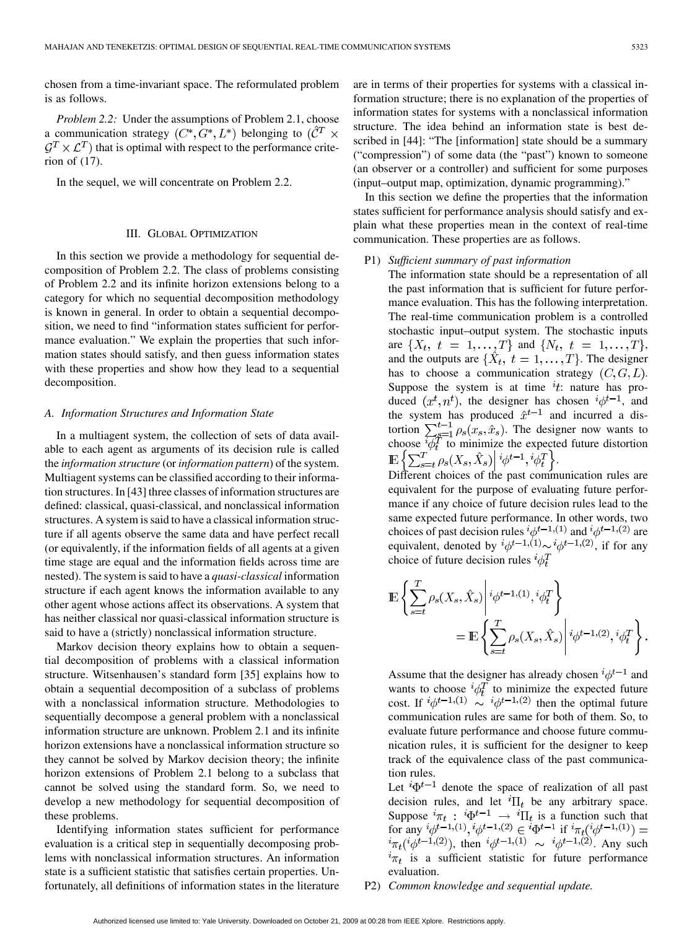chosen from a time-invariant space. The reformulated problem is as follows.

*Problem 2.2:* Under the assumptions of Problem 2.1, choose a communication strategy  $(C^*, G^*, L^*)$  belonging to  $(\hat{C}^T \times$  $\mathcal{G}^T \times \mathcal{L}^T$ ) that is optimal with respect to the performance criterion of (17).

In the sequel, we will concentrate on Problem 2.2.

## III. GLOBAL OPTIMIZATION

In this section we provide a methodology for sequential decomposition of Problem 2.2. The class of problems consisting of Problem 2.2 and its infinite horizon extensions belong to a category for which no sequential decomposition methodology is known in general. In order to obtain a sequential decomposition, we need to find "information states sufficient for performance evaluation." We explain the properties that such information states should satisfy, and then guess information states with these properties and show how they lead to a sequential decomposition.

## *A. Information Structures and Information State*

In a multiagent system, the collection of sets of data available to each agent as arguments of its decision rule is called the *information structure* (or *information pattern*) of the system. Multiagent systems can be classified according to their information structures. In [43] three classes of information structures are defined: classical, quasi-classical, and nonclassical information structures. A system is said to have a classical information structure if all agents observe the same data and have perfect recall (or equivalently, if the information fields of all agents at a given time stage are equal and the information fields across time are nested). The system is said to have a *quasi-classical* information structure if each agent knows the information available to any other agent whose actions affect its observations. A system that has neither classical nor quasi-classical information structure is said to have a (strictly) nonclassical information structure.

Markov decision theory explains how to obtain a sequential decomposition of problems with a classical information structure. Witsenhausen's standard form [35] explains how to obtain a sequential decomposition of a subclass of problems with a nonclassical information structure. Methodologies to sequentially decompose a general problem with a nonclassical information structure are unknown. Problem 2.1 and its infinite horizon extensions have a nonclassical information structure so they cannot be solved by Markov decision theory; the infinite horizon extensions of Problem 2.1 belong to a subclass that cannot be solved using the standard form. So, we need to develop a new methodology for sequential decomposition of these problems.

Identifying information states sufficient for performance evaluation is a critical step in sequentially decomposing problems with nonclassical information structures. An information state is a sufficient statistic that satisfies certain properties. Unfortunately, all definitions of information states in the literature are in terms of their properties for systems with a classical information structure; there is no explanation of the properties of information states for systems with a nonclassical information structure. The idea behind an information state is best described in [44]: "The [information] state should be a summary ("compression") of some data (the "past") known to someone (an observer or a controller) and sufficient for some purposes (input–output map, optimization, dynamic programming)."

In this section we define the properties that the information states sufficient for performance analysis should satisfy and explain what these properties mean in the context of real-time communication. These properties are as follows.

#### P1) *Sufficient summary of past information*

The information state should be a representation of all the past information that is sufficient for future performance evaluation. This has the following interpretation. The real-time communication problem is a controlled stochastic input–output system. The stochastic inputs are  $\{X_t, t = 1, ..., T\}$  and  $\{N_t, t = 1, ..., T\}$ , and the outputs are  $\{\hat{X}_t, t = 1, \ldots, T\}$ . The designer has to choose a communication strategy  $(C, G, L)$ . Suppose the system is at time  $it$ : nature has produced  $(x^t, n^t)$ , the designer has chosen  ${}^i\phi^{t-1}$ , and the system has produced  $\hat{x}^{t-1}$  and incurred a distortion  $\sum_{g=1}^{t-1} \rho_s(x_s, \hat{x}_s)$ . The designer now wants to choose  $\psi_t^T$  to minimize the expected future distortion .

Different choices of the past communication rules are equivalent for the purpose of evaluating future performance if any choice of future decision rules lead to the same expected future performance. In other words, two choices of past decision rules  $\psi^{t-1,(1)}$  and  $\psi^{t-1,(2)}$  are equivalent, denoted by  $\psi^{t-1,(1)} \sim \psi^{t-1,(2)}$ , if for any choice of future decision rules  ${}^{i}\phi_t^T$ 

$$
\mathbb{E}\left\{\sum_{s=t}^{T}\rho_{s}(X_{s},\hat{X}_{s})\Bigg|\,^{i}\phi^{t-1,(1)},^{i}\phi_{t}^{T}\right\}
$$
\n
$$
=\mathbb{E}\left\{\sum_{s=t}^{T}\rho_{s}(X_{s},\hat{X}_{s})\Bigg|\,^{i}\phi^{t-1,(2)},^{i}\phi_{t}^{T}\right\}.
$$

Assume that the designer has already chosen  $^{i}\phi^{t-1}$  and wants to choose  ${}^{t}\phi_t^T$  to minimize the expected future cost. If  $\psi^{t-1,(1)} \sim \psi^{t-1,(2)}$  then the optimal future communication rules are same for both of them. So, to evaluate future performance and choose future communication rules, it is sufficient for the designer to keep track of the equivalence class of the past communication rules.

Let  ${}^{i}\Phi^{t-1}$  denote the space of realization of all past decision rules, and let  ${}^{i}\Pi_{t}$  be any arbitrary space. Suppose  ${}^{t}\pi_{t}: {}^{t}\Phi^{t-1} \rightarrow {}^{t}\Pi_{t}$  is a function such that for any  ${}^{i}\phi^{t-1,(1)}, {}^{i}\phi^{t-1,(2)} \in {}^{i}\Phi^{t-1}$  if , then  $\psi^{t-1,(1)} \sim \psi^{t-1,(2)}$ . Any such  $i_{\pi_t}$  is a sufficient statistic for future performance evaluation.

P2) *Common knowledge and sequential update.*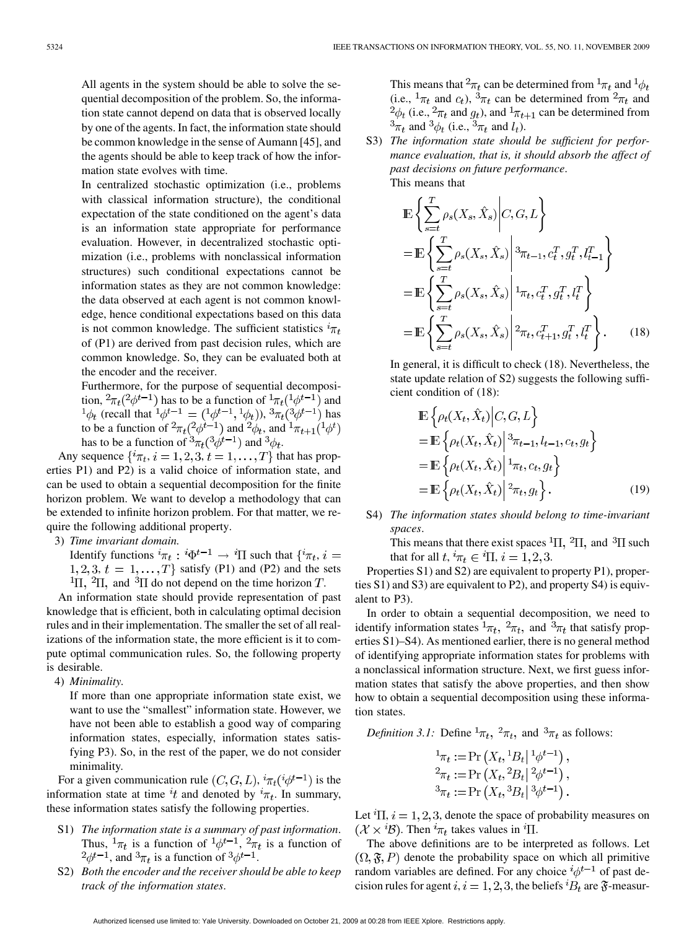All agents in the system should be able to solve the sequential decomposition of the problem. So, the information state cannot depend on data that is observed locally by one of the agents. In fact, the information state should be common knowledge in the sense of Aumann [45], and the agents should be able to keep track of how the information state evolves with time.

In centralized stochastic optimization (i.e., problems with classical information structure), the conditional expectation of the state conditioned on the agent's data is an information state appropriate for performance evaluation. However, in decentralized stochastic optimization (i.e., problems with nonclassical information structures) such conditional expectations cannot be information states as they are not common knowledge: the data observed at each agent is not common knowledge, hence conditional expectations based on this data is not common knowledge. The sufficient statistics  ${}^{i}\pi_{t}$ of (P1) are derived from past decision rules, which are common knowledge. So, they can be evaluated both at the encoder and the receiver.

Furthermore, for the purpose of sequential decomposition,  ${}^2\pi_t({}^2\phi^{t-1})$  has to be a function of  ${}^1\pi_t({}^1\phi^{t-1})$  and (recall that  ${}^1\phi^{t-1} = ({}^1\phi^{t-1}, {}^1\phi_t)$ ),  ${}^3\pi_t({}^3\phi^{t-1})$  has to be a function of  ${}^2\pi_t({}^2\phi^{t-1})$  and  ${}^2\phi_t$ , and has to be a function of  ${}^3\pi_t({}^3\phi^{t-1})$  and  ${}^3\phi_t$ .

Any sequence  $\{\hat{i}\pi_t, i=1,2,3, t=1,\ldots,T\}$  that has properties P1) and P2) is a valid choice of information state, and can be used to obtain a sequential decomposition for the finite horizon problem. We want to develop a methodology that can be extended to infinite horizon problem. For that matter, we require the following additional property.

3) *Time invariant domain.*

Identify functions  ${}^{i}\pi_t$ :  ${}^{i}\Phi^{t-1} \rightarrow {}^{i}\Pi$  such that  $\{ {}^{i}\pi_t, i =$  $1, 2, 3, t = 1, \ldots, T$  satisfy (P1) and (P2) and the sets <sup>1</sup>II, <sup>2</sup>II, and <sup>3</sup>II do not depend on the time horizon *T*.

An information state should provide representation of past knowledge that is efficient, both in calculating optimal decision rules and in their implementation. The smaller the set of all realizations of the information state, the more efficient is it to compute optimal communication rules. So, the following property is desirable.

4) *Minimality.*

If more than one appropriate information state exist, we want to use the "smallest" information state. However, we have not been able to establish a good way of comparing information states, especially, information states satisfying P3). So, in the rest of the paper, we do not consider minimality.

For a given communication rule  $(C, G, L)$ ,  ${}^{i}\pi_t({}^{i}\phi^{t-1})$  is the information state at time  $it$  and denoted by  $i_{\pi_t}$ . In summary, these information states satisfy the following properties.

- S1) *The information state is a summary of past information*. Thus,  ${}^{1}\pi_t$  is a function of  ${}^{1}\phi^{t-1}$ ,  ${}^{2}\pi_t$  is a function of  $^{2}\phi^{t-1}$ , and  $^{3}\pi_{t}$  is a function of  $^{3}\phi^{t-1}$ .
- S2) *Both the encoder and the receiver should be able to keep track of the information states*.

This means that  ${}^2\pi_t$  can be determined from  ${}^1\pi_t$  and  ${}^1\phi_t$ (i.e.,  ${}^{1}\pi_t$  and  $c_t$ ),  ${}^{3}\pi_t$  can be determined from  ${}^{2}\pi_t$  and  $^{2}\phi_{t}$  (i.e.,  $^{2}\pi_{t}$  and  $g_{t}$ ), and  $^{1}\pi_{t+1}$  can be determined from  ${}^3\pi_t$  and  ${}^3\phi_t$  (i.e.,  ${}^3\pi_t$  and  $l_t$ ).

S3) *The information state should be sufficient for performance evaluation, that is, it should absorb the affect of past decisions on future performance*. This means that

$$
\mathbb{E}\left\{\sum_{s=t}^{T} \rho_s(X_s, \hat{X}_s) \middle| C, G, L\right\}
$$
\n
$$
= \mathbb{E}\left\{\sum_{s=t}^{T} \rho_s(X_s, \hat{X}_s) \middle| \begin{aligned}^{3} \pi_{t-1}, c_t^T, g_t^T, l_{t-1}^T \end{aligned}\right\}
$$
\n
$$
= \mathbb{E}\left\{\sum_{s=t}^{T} \rho_s(X_s, \hat{X}_s) \middle| \begin{aligned}^{1} \pi_t, c_t^T, g_t^T, l_t^T \end{aligned}\right\}
$$
\n
$$
= \mathbb{E}\left\{\sum_{s=t}^{T} \rho_s(X_s, \hat{X}_s) \middle| \begin{aligned}^{2} \pi_t, c_{t+1}^T, g_t^T, l_t^T \end{aligned}\right\}.
$$
\n(18)

In general, it is difficult to check (18). Nevertheless, the state update relation of S2) suggests the following sufficient condition of (18):

$$
\mathbb{E}\left\{\rho_t(X_t, \hat{X}_t) \Big| C, G, L\right\} \n= \mathbb{E}\left\{\rho_t(X_t, \hat{X}_t) \Big| {}^3\pi_{t-1}, l_{t-1}, c_t, g_t\right\} \n= \mathbb{E}\left\{\rho_t(X_t, \hat{X}_t) \Big| {}^1\pi_t, c_t, g_t\right\} \n= \mathbb{E}\left\{\rho_t(X_t, \hat{X}_t) \Big| {}^2\pi_t, g_t\right\}.
$$
\n(19)

S4) *The information states should belong to time-invariant spaces*.

This means that there exist spaces  ${}^{1}\Pi$ ,  ${}^{2}\Pi$ , and  ${}^{3}\Pi$  such that for all  $t, {}^{i}\pi_t \in {}^{i}\Pi$ ,  $i = 1, 2, 3$ .

Properties S1) and S2) are equivalent to property P1), properties S1) and S3) are equivalent to P2), and property S4) is equivalent to P3).

In order to obtain a sequential decomposition, we need to identify information states  ${}^{1}\pi_t$ ,  ${}^{2}\pi_t$ , and  ${}^{3}\pi_t$  that satisfy properties S1)–S4). As mentioned earlier, there is no general method of identifying appropriate information states for problems with a nonclassical information structure. Next, we first guess information states that satisfy the above properties, and then show how to obtain a sequential decomposition using these information states.

*Definition 3.1:* Define  ${}^{1}\pi_t$ ,  ${}^{2}\pi_t$ , and  ${}^{3}\pi_t$  as follows:

$$
{}^{1}\pi_{t} := \Pr(X_{t}, {}^{1}B_{t} | {}^{1}\phi^{t-1}),
$$
  
\n
$$
{}^{2}\pi_{t} := \Pr(X_{t}, {}^{2}B_{t} | {}^{2}\phi^{t-1}),
$$
  
\n
$$
{}^{3}\pi_{t} := \Pr(X_{t}, {}^{3}B_{t} | {}^{3}\phi^{t-1}).
$$

Let  ${}^{i}$ II,  $i = 1, 2, 3$ , denote the space of probability measures on  $(X \times {}^{i}B)$ . Then  ${}^{i}\pi_{t}$  takes values in  ${}^{i}\Pi$ .

The above definitions are to be interpreted as follows. Let  $(\Omega, \mathfrak{F}, P)$  denote the probability space on which all primitive random variables are defined. For any choice  ${}^{i}\phi^{t-1}$  of past decision rules for agent  $i, i = 1, 2, 3$ , the beliefs  ${}^{i}B_{t}$  are  $\mathfrak{F}$ -measur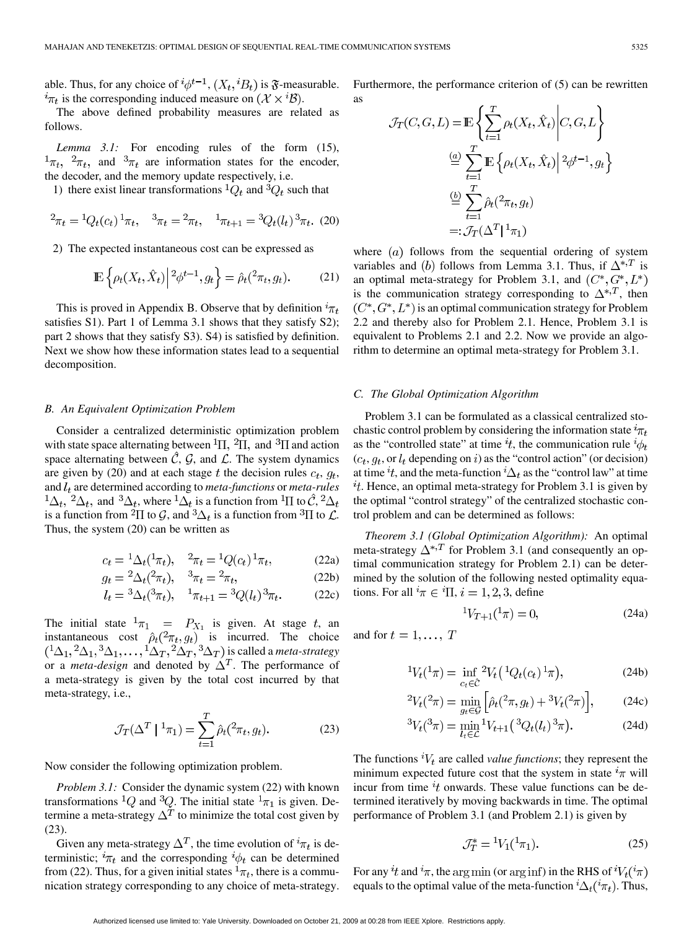able. Thus, for any choice of  ${}^{i}\phi^{t-1}$ ,  $(X_t, {}^{i}B_t)$  is  $\mathfrak{F}$ -measurable.  $i_{\pi_t}$  is the corresponding induced measure on  $(\mathcal{X} \times \mathcal{Y})$ .

The above defined probability measures are related as follows.

*Lemma 3.1:* For encoding rules of the form (15),  ${}^{1}\pi_{t}$ ,  ${}^{2}\pi_{t}$ , and  ${}^{3}\pi_{t}$  are information states for the encoder, the decoder, and the memory update respectively, i.e.

1) there exist linear transformations  ${}^1Q_t$  and  ${}^3Q_t$  such that

$$
{}^{2}\pi_{t} = {}^{1}Q_{t}(c_{t}) {}^{1}\pi_{t}, \quad {}^{3}\pi_{t} = {}^{2}\pi_{t}, \quad {}^{1}\pi_{t+1} = {}^{3}Q_{t}(l_{t}) {}^{3}\pi_{t}.
$$
 (20)

2) The expected instantaneous cost can be expressed as

$$
\mathbb{E}\left\{\rho_t(X_t,\hat{X}_t)\middle|{}^2\phi^{t-1},g_t\right\} = \hat{\rho}_t({}^2\pi_t,g_t). \tag{21}
$$

This is proved in Appendix B. Observe that by definition  ${}^{i}\pi_{t}$ satisfies S1). Part 1 of Lemma 3.1 shows that they satisfy S2); part 2 shows that they satisfy S3). S4) is satisfied by definition. Next we show how these information states lead to a sequential decomposition.

#### *B. An Equivalent Optimization Problem*

Consider a centralized deterministic optimization problem with state space alternating between  ${}^{1}\Pi$ ,  ${}^{2}\Pi$ , and  ${}^{3}\Pi$  and action space alternating between  $\hat{C}$ ,  $\hat{G}$ , and  $\hat{L}$ . The system dynamics are given by (20) and at each stage t the decision rules  $c_t$ ,  $q_t$ , and  $l_t$  are determined according to *meta-functions* or *meta-rules*  ${}^1\Delta_t$ ,  ${}^2\Delta_t$ , and  ${}^3\Delta_t$ , where  ${}^1\Delta_t$  is a function from  ${}^1\Pi$  to  $\hat{C}$ ,  ${}^2\Delta_t$ is a function from <sup>2</sup> $\Pi$  to  $\mathcal{G}$ , and <sup>3</sup> $\Delta_t$  is a function from <sup>3</sup> $\Pi$  to  $\mathcal{L}$ . Thus, the system (20) can be written as

$$
c_t = {}^1\Delta_t({}^1\pi_t), \quad {}^2\pi_t = {}^1Q(c_t) {}^1\pi_t, \tag{22a}
$$

$$
g_t = {}^2\Delta_t({}^2\pi_t), \quad {}^3\pi_t = {}^2\pi_t, \tag{22b}
$$

$$
l_t = {}^{3}\Delta_t({}^{3}\pi_t), \quad {}^{1}\pi_{t+1} = {}^{3}Q(l_t){}^{3}\pi_t. \tag{22c}
$$

The initial state  ${}^1\pi_1$  =  $P_{X_1}$  is given. At stage t, an instantaneous cost  $\hat{\rho}_t(^2\pi_t, g_t)$  is incurred. The choice is called a *meta-strategy* or a *meta-design* and denoted by  $\Delta^T$ . The performance of a meta-strategy is given by the total cost incurred by that meta-strategy, i.e.,

$$
\mathcal{J}_T(\Delta^T \mid {}^1\pi_1) = \sum_{t=1}^T \hat{\rho}_t({}^2\pi_t, g_t). \tag{23}
$$

Now consider the following optimization problem.

*Problem 3.1:* Consider the dynamic system (22) with known transformations <sup>1</sup>Q and <sup>3</sup>Q. The initial state  ${}^{1}\pi_1$  is given. Determine a meta-strategy  $\Delta^T$  to minimize the total cost given by (23).

Given any meta-strategy  $\Delta^T$ , the time evolution of  ${}^i\pi_t$  is deterministic;  ${}^{i}\pi_{t}$  and the corresponding  ${}^{i}\phi_{t}$  can be determined from (22). Thus, for a given initial states  ${}^1\pi_t$ , there is a communication strategy corresponding to any choice of meta-strategy.

Furthermore, the performance criterion of (5) can be rewritten as

$$
\mathcal{J}_T(C, G, L) = \mathbb{E}\left\{\sum_{t=1}^T \rho_t(X_t, \hat{X}_t) \middle| C, G, L\right\}
$$

$$
\stackrel{(a)}{=} \sum_{t=1}^T \mathbb{E}\left\{\rho_t(X_t, \hat{X}_t) \middle| \begin{matrix} 2\phi^{t-1}, g_t \\ 2\phi^{t-1}, g_t \end{matrix} \right\}
$$

$$
\stackrel{(b)}{=} \sum_{t=1}^T \hat{\rho}_t(\hat{Z}_{\tau_t}, g_t)
$$

$$
=: \mathcal{J}_T(\Delta^T | \mathbf{1}_{\tau_1})
$$

where  $(a)$  follows from the sequential ordering of system variables and (b) follows from Lemma 3.1. Thus, if  $\Delta^{*,T}$  is an optimal meta-strategy for Problem 3.1, and  $(C^*, G^*, L^*)$ is the communication strategy corresponding to  $\Delta^{*,T}$ , then  $(C^*, G^*, L^*)$  is an optimal communication strategy for Problem 2.2 and thereby also for Problem 2.1. Hence, Problem 3.1 is equivalent to Problems 2.1 and 2.2. Now we provide an algorithm to determine an optimal meta-strategy for Problem 3.1.

#### *C. The Global Optimization Algorithm*

Problem 3.1 can be formulated as a classical centralized stochastic control problem by considering the information state  ${}^{t}\pi_{t}$ as the "controlled state" at time  $i_t$ , the communication rule  $i_{\phi_t}$  $(c_t, g_t, \text{or } l_t)$  depending on i) as the "control action" (or decision) at time  $i_t$ , and the meta-function  $i_{\Delta_t}$  as the "control law" at time  $t$ . Hence, an optimal meta-strategy for Problem 3.1 is given by the optimal "control strategy" of the centralized stochastic control problem and can be determined as follows:

*Theorem 3.1 (Global Optimization Algorithm):* An optimal meta-strategy  $\Delta^{*,T}$  for Problem 3.1 (and consequently an optimal communication strategy for Problem 2.1) can be determined by the solution of the following nested optimality equations. For all  ${}^{i}\pi \in {}^{i}\Pi$ ,  $i = 1, 2, 3$ , define

$$
{}^{1}V_{T+1}({}^{1}\pi) = 0, \tag{24a}
$$

and for  $t = 1, \ldots, T$ 

$$
{}^{1}V_{t}({}^{1}\pi) = \inf_{c_{t}\in\hat{C}} {}^{2}V_{t}({}^{1}Q_{t}(c_{t})\,{}^{1}\pi), \tag{24b}
$$

$$
{}^{2}V_{t}(^{2}\pi) = \min_{g_{t}\in\mathcal{G}}\left[\hat{\rho}_{t}(^{2}\pi, g_{t}) + {}^{3}V_{t}(^{2}\pi)\right],\tag{24c}
$$

$$
{}^{3}V_{t}({}^{3}\pi) = \min_{l_{t} \in \mathcal{L}} {}^{1}V_{t+1}({}^{3}Q_{t}(l_{t}) {}^{3}\pi). \tag{24d}
$$

The functions  ${}^{i}V_{t}$  are called *value functions*; they represent the minimum expected future cost that the system in state  ${}^{i}\pi$  will incur from time  $\imath$  t onwards. These value functions can be determined iteratively by moving backwards in time. The optimal performance of Problem 3.1 (and Problem 2.1) is given by

$$
\mathcal{J}_T^* = {}^1V_1({}^1\pi_1). \tag{25}
$$

For any <sup>i</sup>t and <sup>i</sup> $\pi$ , the arg min (or arg inf) in the RHS of <sup>i</sup> $V_t$ <sup>(i</sup> $\pi$ ) equals to the optimal value of the meta-function  ${}^{i}\Delta_{t}({}^{i}\pi_{t})$ . Thus,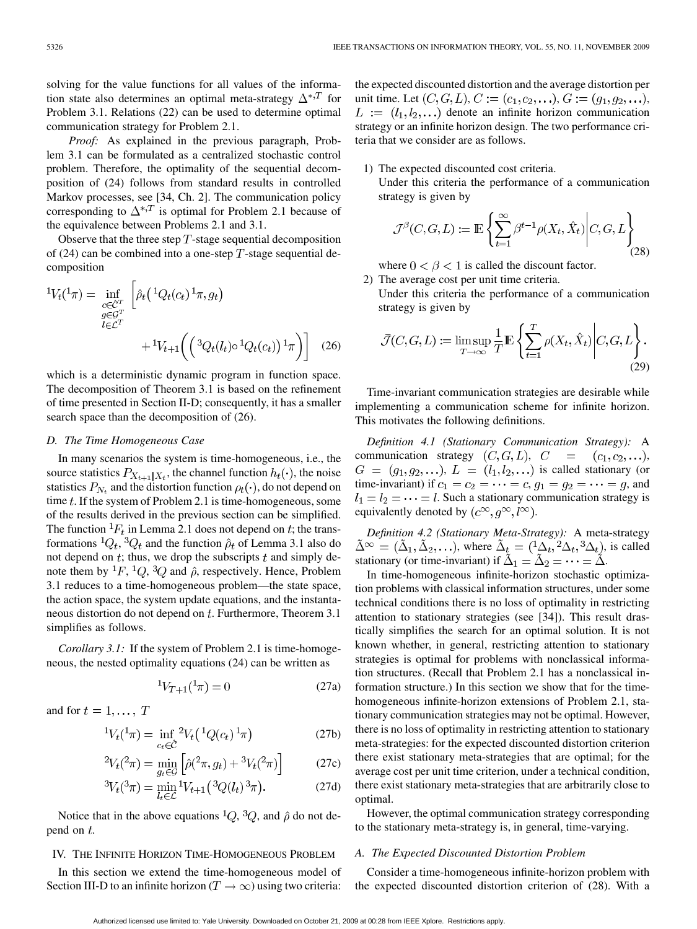solving for the value functions for all values of the information state also determines an optimal meta-strategy  $\Delta^{*,T}$  for Problem 3.1. Relations (22) can be used to determine optimal communication strategy for Problem 2.1.

*Proof:* As explained in the previous paragraph, Problem 3.1 can be formulated as a centralized stochastic control problem. Therefore, the optimality of the sequential decomposition of (24) follows from standard results in controlled Markov processes, see [34, Ch. 2]. The communication policy corresponding to  $\Delta^{*,T}$  is optimal for Problem 2.1 because of the equivalence between Problems 2.1 and 3.1.

Observe that the three step  $T$ -stage sequential decomposition of (24) can be combined into a one-step T-stage sequential decomposition

$$
{}^{1}V_{t}({}^{1}\pi) = \inf_{\substack{c \in \mathcal{C}^{T} \\ g \in \mathcal{G}^{T}}} \left[ \hat{\rho}_{t} \left( {}^{1}Q_{t}(c_{t}) {}^{1}\pi, g_{t} \right) \right. \\ + {}^{1}V_{t+1} \left( \left( {}^{3}Q_{t}(l_{t}) \circ {}^{1}Q_{t}(c_{t}) \right) {}^{1}\pi \right) \right] \tag{26}
$$

which is a deterministic dynamic program in function space. The decomposition of Theorem 3.1 is based on the refinement of time presented in Section II-D; consequently, it has a smaller search space than the decomposition of (26).

## *D. The Time Homogeneous Case*

In many scenarios the system is time-homogeneous, i.e., the source statistics  $P_{X_{t+1}|X_t}$ , the channel function  $h_t(\cdot)$ , the noise statistics  $P_{N_t}$  and the distortion function  $\rho_t(\cdot)$ , do not depend on time  $t$ . If the system of Problem 2.1 is time-homogeneous, some of the results derived in the previous section can be simplified. The function  ${}^{1}F_{t}$  in Lemma 2.1 does not depend on t; the transformations  ${}^{1}Q_{t}$ ,  ${}^{3}Q_{t}$  and the function  $\hat{\rho}_{t}$  of Lemma 3.1 also do not depend on  $t$ ; thus, we drop the subscripts  $t$  and simply denote them by  ${}^{1}F, {}^{1}Q, {}^{3}Q$  and  $\hat{\rho}$ , respectively. Hence, Problem 3.1 reduces to a time-homogeneous problem—the state space, the action space, the system update equations, and the instantaneous distortion do not depend on  $t$ . Furthermore, Theorem 3.1 simplifies as follows.

*Corollary 3.1:* If the system of Problem 2.1 is time-homogeneous, the nested optimality equations (24) can be written as

$$
{}^{1}V_{T+1}({}^{1}\pi) = 0 \tag{27a}
$$

and for  $t = 1, \ldots, T$ 

$$
{}^{1}V_{t}({}^{1}\pi) = \inf_{c_{t}\in\hat{C}} {}^{2}V_{t}({}^{1}Q(c_{t}){}^{1}\pi)
$$
 (27b)

$$
{}^{2}V_{t}(^{2}\pi) = \min_{g_{t}\in\mathcal{G}}\left[\hat{\rho}(^{2}\pi, g_{t}) + {}^{3}V_{t}(^{2}\pi)\right]
$$
(27c)

$$
{}^{3}V_{t}({}^{3}\pi) = \min_{l_{t} \in \mathcal{L}} {}^{1}V_{t+1}({}^{3}Q(l_{t}) {}^{3}\pi). \tag{27d}
$$

Notice that in the above equations <sup>1</sup>Q, <sup>3</sup>Q, and  $\hat{\rho}$  do not depend on  $t$ .

## IV. THE INFINITE HORIZON TIME-HOMOGENEOUS PROBLEM

In this section we extend the time-homogeneous model of Section III-D to an infinite horizon ( $T \to \infty$ ) using two criteria:

the expected discounted distortion and the average distortion per unit time. Let  $(C, G, L)$ ,  $C := (c_1, c_2, \ldots)$ ,  $G := (g_1, g_2, \ldots)$ ,  $L := (l_1, l_2, \ldots)$  denote an infinite horizon communication strategy or an infinite horizon design. The two performance criteria that we consider are as follows.

## 1) The expected discounted cost criteria.

Under this criteria the performance of a communication strategy is given by

$$
\mathcal{J}^{\beta}(C, G, L) := \mathbb{E}\left\{ \sum_{t=1}^{\infty} \beta^{t-1} \rho(X_t, \hat{X}_t) \middle| C, G, L \right\}
$$
(28)

where  $0 < \beta < 1$  is called the discount factor.

2) The average cost per unit time criteria. Under this criteria the performance of a communication strategy is given by

$$
\bar{\mathcal{J}}(C, G, L) := \limsup_{T \to \infty} \frac{1}{T} \mathbb{E} \left\{ \sum_{t=1}^{T} \rho(X_t, \hat{X}_t) \middle| C, G, L \right\}.
$$
\n(29)

Time-invariant communication strategies are desirable while implementing a communication scheme for infinite horizon. This motivates the following definitions.

*Definition 4.1 (Stationary Communication Strategy):* A communication strategy  $(C, G, L)$ ,  $C = (c_1, c_2, \ldots)$ ,  $G = (g_1, g_2,...), L = (l_1, l_2,...)$  is called stationary (or time-invariant) if  $c_1 = c_2 = \cdots = c$ ,  $g_1 = g_2 = \cdots = g$ , and  $l_1 = l_2 = \cdots = l$ . Such a stationary communication strategy is equivalently denoted by  $(c^{\infty}, q^{\infty}, l^{\infty})$ .

*Definition 4.2 (Stationary Meta-Strategy):* A meta-strategy  $\tilde{\Delta}^{\infty} = (\tilde{\Delta}_1, \tilde{\Delta}_2, \ldots)$ , where  $\tilde{\Delta}_t = ({}^1\Delta_t, {}^2\Delta_t, {}^3\Delta_t)$ , is called stationary (or time-invariant) if  $\tilde{\Delta}_1 = \tilde{\Delta}_2 = \cdots = \tilde{\Delta}$ .

In time-homogeneous infinite-horizon stochastic optimization problems with classical information structures, under some technical conditions there is no loss of optimality in restricting attention to stationary strategies (see [34]). This result drastically simplifies the search for an optimal solution. It is not known whether, in general, restricting attention to stationary strategies is optimal for problems with nonclassical information structures. (Recall that Problem 2.1 has a nonclassical information structure.) In this section we show that for the timehomogeneous infinite-horizon extensions of Problem 2.1, stationary communication strategies may not be optimal. However, there is no loss of optimality in restricting attention to stationary meta-strategies: for the expected discounted distortion criterion there exist stationary meta-strategies that are optimal; for the average cost per unit time criterion, under a technical condition, there exist stationary meta-strategies that are arbitrarily close to optimal.

However, the optimal communication strategy corresponding to the stationary meta-strategy is, in general, time-varying.

#### *A. The Expected Discounted Distortion Problem*

Consider a time-homogeneous infinite-horizon problem with the expected discounted distortion criterion of (28). With a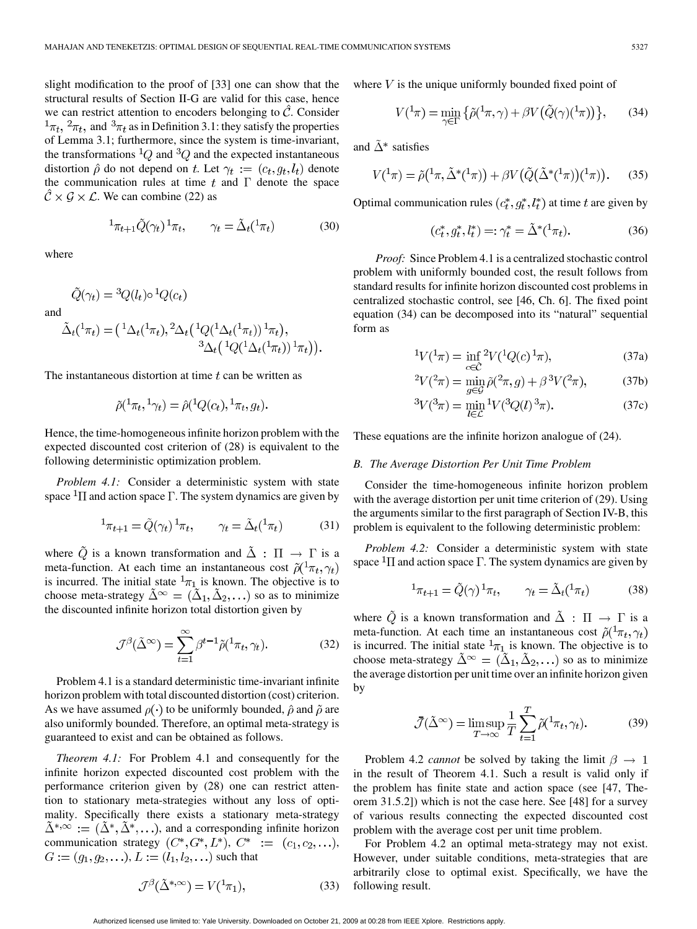slight modification to the proof of [33] one can show that the structural results of Section II-G are valid for this case, hence we can restrict attention to encoders belonging to  $\tilde{C}$ . Consider  $\frac{1}{\pi t}$ ,  $\frac{2}{\pi t}$ , and  $\frac{3}{\pi t}$  as in Definition 3.1: they satisfy the properties of Lemma 3.1; furthermore, since the system is time-invariant, the transformations  ${}^{1}Q$  and  ${}^{3}Q$  and the expected instantaneous distortion  $\hat{\rho}$  do not depend on t. Let  $\gamma_t := (c_t, q_t, l_t)$  denote the communication rules at time t and  $\Gamma$  denote the space  $\mathcal{C} \times \mathcal{G} \times \mathcal{L}$ . We can combine (22) as

$$
{}^{1}\pi_{t+1}\tilde{Q}(\gamma_{t})\,{}^{1}\pi_{t}, \qquad \gamma_{t} = \tilde{\Delta}_{t}({}^{1}\pi_{t}) \tag{30}
$$

where

$$
\tilde{Q}(\gamma_t) = {}^3Q(l_t) \circ {}^1Q(c_t)
$$
  
and  

$$
\tilde{\Delta}_t({}^1\pi_t) = ({}^1\Delta_t({}^1\pi_t), {}^2\Delta_t({}^1Q({}^1\Delta_t({}^1\pi_t)) {}^1\pi_t),
$$

$$
{}^3\Delta_t({}^1Q({}^1\Delta_t({}^1\pi_t)) {}^1\pi_t)).
$$

The instantaneous distortion at time  $t$  can be written as

$$
\tilde{\rho}(\mathbf{1}_{\pi_t}, \mathbf{1}_{\gamma_t}) = \hat{\rho}(\mathbf{1}_{Q(c_t)}, \mathbf{1}_{\pi_t}, g_t).
$$

Hence, the time-homogeneous infinite horizon problem with the expected discounted cost criterion of (28) is equivalent to the following deterministic optimization problem.

*Problem 4.1:* Consider a deterministic system with state space  ${}^{1}\Pi$  and action space  $\Gamma$ . The system dynamics are given by

$$
{}^{1}\pi_{t+1} = \tilde{Q}(\gamma_t) \, {}^{1}\pi_t, \qquad \gamma_t = \tilde{\Delta}_t({}^{1}\pi_t) \tag{31}
$$

where  $\tilde{Q}$  is a known transformation and  $\tilde{\Delta}$  :  $\Pi \rightarrow \Gamma$  is a meta-function. At each time an instantaneous cost  $\tilde{\rho}(1\pi_t, \gamma_t)$ is incurred. The initial state  ${}^{1}\pi_1$  is known. The objective is to choose meta-strategy  $\tilde{\Delta}^{\infty} = (\tilde{\Delta}_1, \tilde{\Delta}_2, \ldots)$  so as to minimize the discounted infinite horizon total distortion given by

$$
\mathcal{J}^{\beta}(\tilde{\Delta}^{\infty}) = \sum_{t=1}^{\infty} \beta^{t-1} \tilde{\rho}(\cdot^1 \pi_t, \gamma_t). \tag{32}
$$

Problem 4.1 is a standard deterministic time-invariant infinite horizon problem with total discounted distortion (cost) criterion. As we have assumed  $\rho(\cdot)$  to be uniformly bounded,  $\hat{\rho}$  and  $\tilde{\rho}$  are also uniformly bounded. Therefore, an optimal meta-strategy is guaranteed to exist and can be obtained as follows.

*Theorem 4.1:* For Problem 4.1 and consequently for the infinite horizon expected discounted cost problem with the performance criterion given by (28) one can restrict attention to stationary meta-strategies without any loss of optimality. Specifically there exists a stationary meta-strategy  $\tilde{\Delta}^{*,\infty} := (\tilde{\Delta}^*, \tilde{\Delta}^*, \ldots)$ , and a corresponding infinite horizon communication strategy  $(C^*, G^*, L^*), C^* := (c_1, c_2, \ldots),$  $G := (q_1, q_2, \ldots), L := (l_1, l_2, \ldots)$  such that

$$
\mathcal{J}^{\beta}(\tilde{\Delta}^{*,\infty}) = V(\cdot^1 \pi_1),\tag{33}
$$

where  $V$  is the unique uniformly bounded fixed point of

$$
V(\frac{1}{\pi}) = \min_{\gamma \in \Gamma} \{ \tilde{\rho}(\frac{1}{\pi}, \gamma) + \beta V(\tilde{Q}(\gamma)(\frac{1}{\pi})) \}, \qquad (34)
$$

and  $\tilde{\Delta}^*$  satisfies

$$
V(\mathbf{1}_{\pi}) = \tilde{\rho}(\mathbf{1}_{\pi}, \tilde{\Delta}^*(\mathbf{1}_{\pi})) + \beta V(\tilde{Q}(\tilde{\Delta}^*(\mathbf{1}_{\pi}))(\mathbf{1}_{\pi})). \tag{35}
$$

Optimal communication rules  $(c_t^*, g_t^*, l_t^*)$  at time t are given by

$$
(c_t^*, g_t^*, l_t^*) =: \gamma_t^* = \tilde{\Delta}^*(1\pi_t). \tag{36}
$$

*Proof:* Since Problem 4.1 is a centralized stochastic control problem with uniformly bounded cost, the result follows from standard results for infinite horizon discounted cost problems in centralized stochastic control, see [46, Ch. 6]. The fixed point equation (34) can be decomposed into its "natural" sequential form as

$$
{}^{1}V(^{1}\pi) = \inf_{c \in \hat{C}} {}^{2}V(^{1}Q(c) \, {}^{1}\pi), \tag{37a}
$$

$$
{}^{2}V(^{2}\pi) = \min_{g \in \mathcal{G}} \tilde{\rho}({}^{2}\pi, g) + \beta \, {}^{3}V(^{2}\pi), \tag{37b}
$$

$$
{}^{3}V({}^{3}\pi) = \min_{l \in \mathcal{L}} {}^{1}V({}^{3}Q(l){}^{3}\pi). \tag{37c}
$$

These equations are the infinite horizon analogue of (24).

## *B. The Average Distortion Per Unit Time Problem*

Consider the time-homogeneous infinite horizon problem with the average distortion per unit time criterion of (29). Using the arguments similar to the first paragraph of Section IV-B, this problem is equivalent to the following deterministic problem:

*Problem 4.2:* Consider a deterministic system with state space  ${}^{1}\Pi$  and action space  $\Gamma$ . The system dynamics are given by

$$
{}^{1}\pi_{t+1} = \tilde{Q}(\gamma) \, {}^{1}\pi_t, \qquad \gamma_t = \tilde{\Delta}_t({}^{1}\pi_t) \tag{38}
$$

where  $\tilde{Q}$  is a known transformation and  $\tilde{\Delta}$  :  $\Pi \rightarrow \Gamma$  is a meta-function. At each time an instantaneous cost  $\tilde{\rho}(1\pi_t, \gamma_t)$ is incurred. The initial state  $\frac{1}{T_1}$  is known. The objective is to choose meta-strategy  $\tilde{\Delta}^{\infty} = (\tilde{\Delta}_1, \tilde{\Delta}_2, \ldots)$  so as to minimize the average distortion per unit time over an infinite horizon given by

$$
\bar{\mathcal{J}}(\tilde{\Delta}^{\infty}) = \limsup_{T \to \infty} \frac{1}{T} \sum_{t=1}^{T} \tilde{\rho}(\cdot^1 \pi_t, \gamma_t).
$$
 (39)

Problem 4.2 *cannot* be solved by taking the limit  $\beta \rightarrow 1$ in the result of Theorem 4.1. Such a result is valid only if the problem has finite state and action space (see [47, Theorem 31.5.2]) which is not the case here. See [48] for a survey of various results connecting the expected discounted cost problem with the average cost per unit time problem.

For Problem 4.2 an optimal meta-strategy may not exist. However, under suitable conditions, meta-strategies that are arbitrarily close to optimal exist. Specifically, we have the following result.

Authorized licensed use limited to: Yale University. Downloaded on October 21, 2009 at 00:28 from IEEE Xplore. Restrictions apply.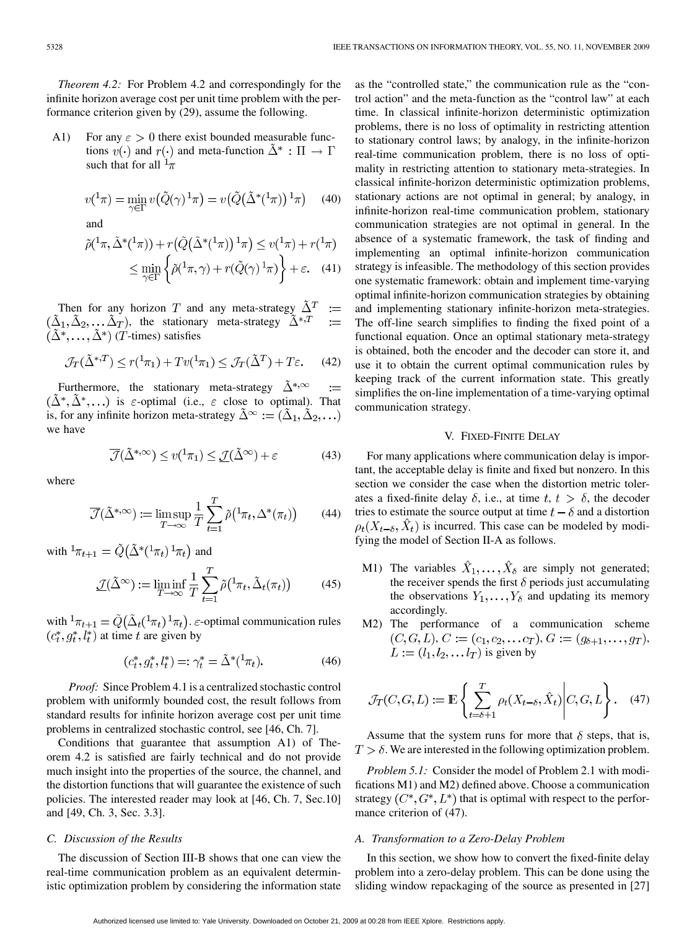*Theorem 4.2:* For Problem 4.2 and correspondingly for the infinite horizon average cost per unit time problem with the performance criterion given by (29), assume the following.

A1) For any  $\epsilon > 0$  there exist bounded measurable functions  $v(\cdot)$  and  $r(\cdot)$  and meta-function  $\Delta^* : \Pi \to \Gamma$ such that for all  $\frac{1}{\pi}$ 

$$
v(\mathbf{1}_{\pi}) = \min_{\gamma \in \Gamma} v(\tilde{Q}(\gamma) \mathbf{1}_{\pi}) = v(\tilde{Q}(\tilde{\Delta}^*(\mathbf{1}_{\pi})) \mathbf{1}_{\pi}) \tag{40}
$$

and

$$
\tilde{\rho}(\frac{1}{\pi}, \tilde{\Delta}^*(1\pi)) + r(\tilde{Q}(\tilde{\Delta}^*(1\pi)) 1\pi) \le v(1\pi) + r(1\pi)
$$
  

$$
\le \min_{\gamma \in \Gamma} \left\{ \tilde{\rho}(\frac{1}{\pi}, \gamma) + r(\tilde{Q}(\gamma) 1\pi) \right\} + \varepsilon. \quad (41)
$$

Then for any horizon T and any meta-strategy  $\tilde{\Delta}^T$  := , the stationary meta-strategy  $(T$ -times) satisfies

$$
\mathcal{J}_T(\tilde{\Delta}^{*,T}) \le r({}^1\pi_1) + Tv({}^1\pi_1) \le \mathcal{J}_T(\tilde{\Delta}^T) + T\varepsilon. \tag{42}
$$

Furthermore, the stationary meta-strategy  $\tilde{\Delta}^{*,\infty}$  $(\tilde{\Delta}^*, \tilde{\Delta}^*, \ldots)$  is  $\varepsilon$ -optimal (i.e.,  $\varepsilon$  close to optimal). That is, for any infinite horizon meta-strategy  $\tilde{\Delta}^{\infty} := (\tilde{\Delta}_1, \tilde{\Delta}_2, ...)$ we have

$$
\overline{\mathcal{J}}(\tilde{\Delta}^{*,\infty}) \le v({}^1\pi_1) \le \underline{\mathcal{J}}(\tilde{\Delta}^{\infty}) + \varepsilon \tag{43}
$$

where

$$
\overline{\mathcal{J}}(\tilde{\Delta}^{*,\infty}) := \limsup_{T \to \infty} \frac{1}{T} \sum_{t=1}^{T} \tilde{\rho}(\Lambda_{\pi_t}, \Delta^*(\pi_t)) \qquad (44)
$$

with  ${}^1\pi_{t+1} = \tilde{Q}(\tilde{\Delta}^*(1\pi_t) 1\pi_t)$  and

$$
\underline{\mathcal{J}}(\tilde{\Delta}^{\infty}) := \liminf_{T \to \infty} \frac{1}{T} \sum_{t=1}^{T} \tilde{\rho}(\ell^1 \pi_t, \tilde{\Delta}_t(\pi_t)) \tag{45}
$$

with  ${}^1\pi_{t+1} = \tilde{Q}(\tilde{\Delta}_t({}^1\pi_t){}^1\pi_t)$ .  $\varepsilon$ -optimal communication rules  $(c_t^*, g_t^*, l_t^*)$  at time t are given by

$$
(c_t^*, g_t^*, l_t^*) =: \gamma_t^* = \tilde{\Delta}^*(1\pi_t). \tag{46}
$$

*Proof:* Since Problem 4.1 is a centralized stochastic control problem with uniformly bounded cost, the result follows from standard results for infinite horizon average cost per unit time problems in centralized stochastic control, see [46, Ch. 7].

Conditions that guarantee that assumption A1) of Theorem 4.2 is satisfied are fairly technical and do not provide much insight into the properties of the source, the channel, and the distortion functions that will guarantee the existence of such policies. The interested reader may look at [46, Ch. 7, Sec.10] and [49, Ch. 3, Sec. 3.3].

## *C. Discussion of the Results*

The discussion of Section III-B shows that one can view the real-time communication problem as an equivalent deterministic optimization problem by considering the information state

as the "controlled state," the communication rule as the "control action" and the meta-function as the "control law" at each time. In classical infinite-horizon deterministic optimization problems, there is no loss of optimality in restricting attention to stationary control laws; by analogy, in the infinite-horizon real-time communication problem, there is no loss of optimality in restricting attention to stationary meta-strategies. In classical infinite-horizon deterministic optimization problems, stationary actions are not optimal in general; by analogy, in infinite-horizon real-time communication problem, stationary communication strategies are not optimal in general. In the absence of a systematic framework, the task of finding and implementing an optimal infinite-horizon communication strategy is infeasible. The methodology of this section provides one systematic framework: obtain and implement time-varying optimal infinite-horizon communication strategies by obtaining and implementing stationary infinite-horizon meta-strategies. The off-line search simplifies to finding the fixed point of a functional equation. Once an optimal stationary meta-strategy is obtained, both the encoder and the decoder can store it, and use it to obtain the current optimal communication rules by keeping track of the current information state. This greatly simplifies the on-line implementation of a time-varying optimal communication strategy.

#### V. FIXED-FINITE DELAY

For many applications where communication delay is important, the acceptable delay is finite and fixed but nonzero. In this section we consider the case when the distortion metric tolerates a fixed-finite delay  $\delta$ , i.e., at time  $t, t > \delta$ , the decoder tries to estimate the source output at time  $t - \delta$  and a distortion  $\rho_t(X_{t-\delta}, \hat{X}_t)$  is incurred. This case can be modeled by modifying the model of Section II-A as follows.

- M1) The variables  $\hat{X}_1, \dots, \hat{X}_\delta$  are simply not generated; the receiver spends the first  $\delta$  periods just accumulating the observations  $Y_1, \ldots, Y_\delta$  and updating its memory accordingly.
- M2) The performance of a communication scheme  $(C, G, L), C := (c_1, c_2, \dots c_T), G := (g_{\delta+1}, \dots, g_T),$  $\hat{L} := (l_1, l_2, \dots l_T)$  is given by

$$
\mathcal{J}_T(C, G, L) := \mathbb{E}\left\{\sum_{t=\delta+1}^T \rho_t(X_{t-\delta}, \hat{X}_t) \middle| C, G, L\right\}.
$$
 (47)

Assume that the system runs for more that  $\delta$  steps, that is,  $T > \delta$ . We are interested in the following optimization problem.

*Problem 5.1:* Consider the model of Problem 2.1 with modifications M1) and M2) defined above. Choose a communication strategy  $(C^*, G^*, L^*)$  that is optimal with respect to the performance criterion of (47).

## *A. Transformation to a Zero-Delay Problem*

In this section, we show how to convert the fixed-finite delay problem into a zero-delay problem. This can be done using the sliding window repackaging of the source as presented in [27]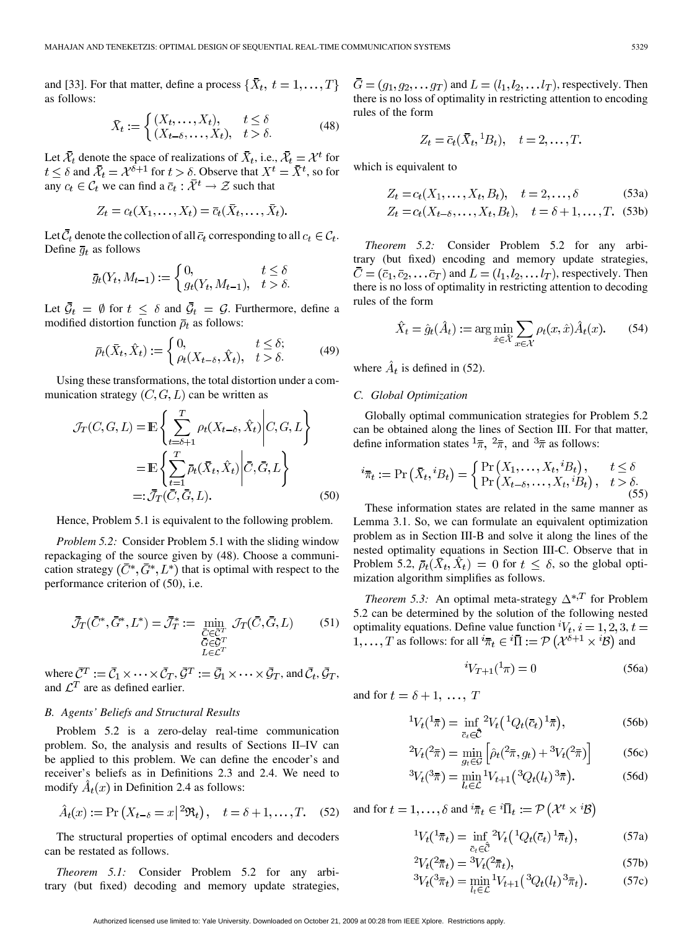and [33]. For that matter, define a process  $\{\bar{X}_t, t = 1, \dots, T\}$ as follows:

$$
\bar{X}_t := \begin{cases} (X_t, \dots, X_t), & t \le \delta \\ (X_{t-\delta}, \dots, X_t), & t > \delta. \end{cases} \tag{48}
$$

Let  $\bar{\mathcal{X}}_t$  denote the space of realizations of  $\bar{X}_t$ , i.e.,  $\bar{\mathcal{X}}_t = \mathcal{X}^t$  for  $t \leq \delta$  and  $\bar{\mathcal{X}}_t = \mathcal{X}^{\delta+1}$  for  $t > \delta$ . Observe that  $X^t = \bar{X}^t$ , so for any  $c_t \in \mathcal{C}_t$  we can find a  $\bar{c}_t : \bar{\mathcal{X}}^t \to \mathcal{Z}$  such that

$$
Z_t = c_t(X_1,\ldots,X_t) = \overline{c}_t(\overline{X}_t,\ldots,\overline{X}_t).
$$

Let  $\bar{C}_t$  denote the collection of all  $\bar{c}_t$  corresponding to all  $c_t \in \mathcal{C}_t$ . Define  $\bar{g}_t$  as follows

$$
\bar{g}_t(Y_t, M_{t-1}) := \begin{cases} 0, & t \le \delta \\ g_t(Y_t, M_{t-1}), & t > \delta. \end{cases}
$$

Let  $\bar{\mathcal{G}}_t = \emptyset$  for  $t \leq \delta$  and  $\bar{\mathcal{G}}_t = \mathcal{G}$ . Furthermore, define a modified distortion function  $\bar{\rho}_t$  as follows:

$$
\bar{\rho}_t(\bar{X}_t, \hat{X}_t) := \begin{cases} 0, & t \leq \delta; \\ \rho_t(X_{t-\delta}, \hat{X}_t), & t > \delta. \end{cases} \tag{49}
$$

Using these transformations, the total distortion under a communication strategy  $(C, G, L)$  can be written as

$$
\mathcal{J}_T(C, G, L) = \mathbb{E}\left\{\sum_{t=\delta+1}^T \rho_t(X_{t-\delta}, \hat{X}_t) \middle| C, G, L\right\}
$$

$$
= \mathbb{E}\left\{\sum_{t=1}^T \bar{\rho}_t(\bar{X}_t, \hat{X}_t) \middle| \bar{C}, \bar{G}, L\right\}
$$

$$
=:\bar{\mathcal{J}}_T(\bar{C}, \bar{G}, L). \tag{50}
$$

Hence, Problem 5.1 is equivalent to the following problem.

*Problem 5.2:* Consider Problem 5.1 with the sliding window repackaging of the source given by (48). Choose a communication strategy  $(\bar{C}^*, \bar{G}^*, L^*)$  that is optimal with respect to the performance criterion of (50), i.e.

$$
\bar{\mathcal{J}}_T(\bar{C}^*, \bar{G}^*, L^*) = \bar{\mathcal{J}}_T^* := \min_{\substack{\bar{C} \in \bar{C}^T \\ \bar{G} \in \bar{\mathcal{G}}^T \\ L \in \mathcal{L}^T}} \mathcal{J}_T(\bar{C}, \bar{G}, L) \tag{51}
$$

where  $\bar{C}^T := \bar{C}_1 \times \cdots \times \bar{C}_T$ ,  $\bar{G}^T := \bar{G}_1 \times \cdots \times \bar{G}_T$ , and  $\bar{C}_t$ ,  $\bar{G}_T$ , and  $\mathcal{L}^T$  are as defined earlier.

## *B. Agents' Beliefs and Structural Results*

Problem 5.2 is a zero-delay real-time communication problem. So, the analysis and results of Sections II–IV can be applied to this problem. We can define the encoder's and receiver's beliefs as in Definitions 2.3 and 2.4. We need to modify  $\hat{A}_t(x)$  in Definition 2.4 as follows:

$$
\hat{A}_t(x) := \Pr\left(X_{t-\delta} = x \,|\, {}^2\mathfrak{R}_t\right), \quad t = \delta + 1, \dots, T. \tag{52}
$$

The structural properties of optimal encoders and decoders can be restated as follows.

*Theorem 5.1:* Consider Problem 5.2 for any arbitrary (but fixed) decoding and memory update strategies,

 $\bar{G} = (g_1, g_2, \dots g_T)$  and  $L = (l_1, l_2, \dots l_T)$ , respectively. Then there is no loss of optimality in restricting attention to encoding rules of the form

$$
Z_t = \overline{c}_t(\overline{X}_t, {}^1B_t), \quad t = 2, \dots, T.
$$

which is equivalent to

$$
Z_t = c_t(X_1, ..., X_t, B_t), \quad t = 2, ..., \delta
$$
 (53a)  

$$
Z_t = c_t(X_{t-\delta}, ..., X_t, B_t), \quad t = \delta + 1, ..., T.
$$
 (53b)

*Theorem 5.2:* Consider Problem 5.2 for any arbitrary (but fixed) encoding and memory update strategies,  $\overline{C} = (\overline{c}_1, \overline{c}_2, \dots \overline{c}_T)$  and  $L = (l_1, l_2, \dots l_T)$ , respectively. Then there is no loss of optimality in restricting attention to decoding rules of the form

$$
\hat{X}_t = \hat{g}_t(\hat{A}_t) := \arg\min_{\hat{x}\in\hat{\mathcal{X}}} \sum_{x\in\mathcal{X}} \rho_t(x, \hat{x}) \hat{A}_t(x). \tag{54}
$$

where  $\hat{A}_t$  is defined in (52).

## *C. Global Optimization*

Globally optimal communication strategies for Problem 5.2 can be obtained along the lines of Section III. For that matter, define information states  $\frac{1}{\pi}$ ,  $\frac{2}{\pi}$ , and  $\frac{3}{\pi}$  as follows:

$$
i_{\overline{\pi}_t} := \Pr\left(\overline{X}_t, {}^iB_t\right) = \begin{cases} \Pr\left(X_1, \dots, X_t, {}^iB_t\right), & t \le \delta \\ \Pr\left(X_{t-\delta}, \dots, X_t, {}^iB_t\right), & t > \delta. \end{cases}
$$
\n(55)

These information states are related in the same manner as Lemma 3.1. So, we can formulate an equivalent optimization problem as in Section III-B and solve it along the lines of the nested optimality equations in Section III-C. Observe that in Problem 5.2,  $\bar{\rho}_t(X_t, X_t) = 0$  for  $t \leq \delta$ , so the global optimization algorithm simplifies as follows.

*Theorem 5.3:* An optimal meta-strategy  $\Delta^{*,T}$  for Problem 5.2 can be determined by the solution of the following nested optimality equations. Define value function  ${}^{i}V_{t}$ ,  $i = 1, 2, 3, t =$  $1,\ldots,T$  as follows: for all  ${}^{i}\bar{\pi}_{t} \in {}^{i}\bar{\Pi} := \mathcal{P}(\mathcal{X}^{\delta+1} \times {}^{i}\mathcal{B})$  and

$$
{}^{i}V_{T+1}({}^{1}\pi) = 0 \tag{56a}
$$

and for  $t = \delta + 1, \ldots, T$ 

$$
{}^{1}V_{t}({}^{1}\bar{\pi}) = \inf_{\bar{c}_{t}\in\hat{\mathcal{C}}} {}^{2}V_{t}({}^{1}Q_{t}(\bar{c}_{t}) {}^{1}\bar{\pi}), \tag{56b}
$$

$$
{}^{2}V_{t}(^{2}\bar{\pi}) = \min_{g_{t}\in\mathcal{G}}\left[\hat{\rho}_{t}(^{2}\bar{\pi}, g_{t}) + {}^{3}V_{t}(^{2}\bar{\pi})\right]
$$
(56c)

$$
{}^{3}V_{t}({}^{3}\bar{\pi}) = \min_{l_{t}\in\mathcal{L}} {}^{1}V_{t+1}({}^{3}Q_{t}(l_{t}){}^{3}\bar{\pi}).
$$
 (56d)

and for  $t = 1, ..., \delta$  and  ${}^{i}\overline{\pi}_{t} \in {}^{i}\overline{\Pi}_{t} := \mathcal{P}(\mathcal{X}^{t} \times {}^{i}\mathcal{B})$ 

$$
{}^{1}V_{t}({}^{1}\bar{\pi}_{t}) = \inf_{\bar{c}_{t}\in\hat{\bar{C}}} {}^{2}V_{t}({}^{1}Q_{t}(\bar{c}_{t})\,{}^{1}\bar{\pi}_{t}), \tag{57a}
$$

$$
{}^{2}V_{t}(^{2}\bar{\pi}_{t}) = {}^{3}V_{t}(^{2}\bar{\pi}_{t}), \tag{57b}
$$

$$
{}^{3}V_{t}({}^{3}\bar{\pi}_{t}) = \min_{l_{t}\in\mathcal{L}} {}^{1}V_{t+1}({}^{3}Q_{t}(l_{t}) {}^{3}\bar{\pi}_{t}). \tag{57c}
$$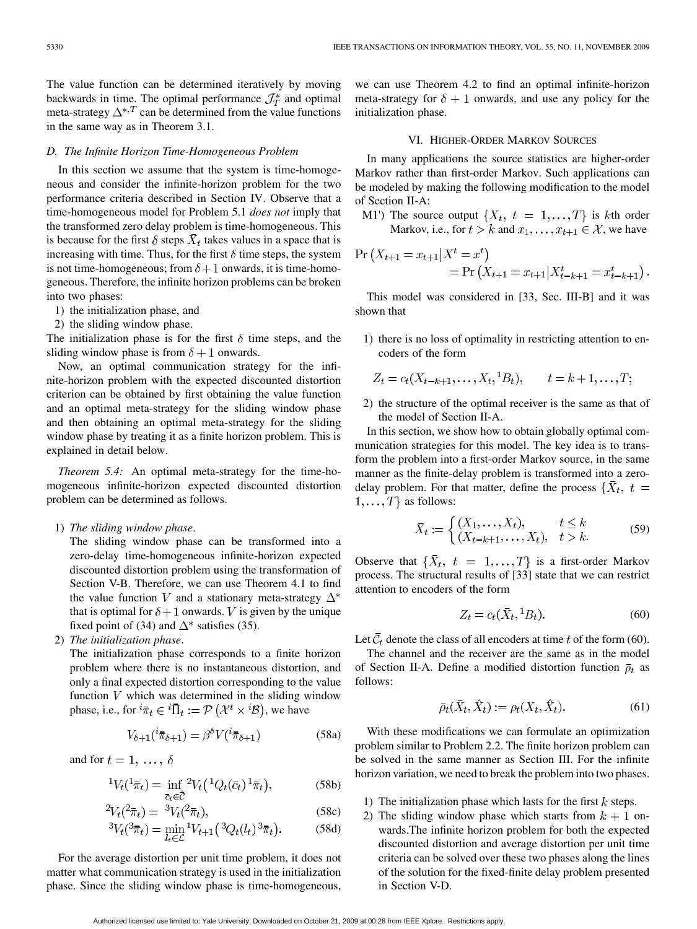The value function can be determined iteratively by moving backwards in time. The optimal performance  $\mathcal{J}_{T}^{*}$  and optimal meta-strategy  $\Delta^{*,T}$  can be determined from the value functions in the same way as in Theorem 3.1.

#### *D. The Infinite Horizon Time-Homogeneous Problem*

In this section we assume that the system is time-homogeneous and consider the infinite-horizon problem for the two performance criteria described in Section IV. Observe that a time-homogeneous model for Problem 5.1 *does not* imply that the transformed zero delay problem is time-homogeneous. This is because for the first  $\delta$  steps  $\bar{X}_t$  takes values in a space that is increasing with time. Thus, for the first  $\delta$  time steps, the system is not time-homogeneous; from  $\delta + 1$  onwards, it is time-homogeneous. Therefore, the infinite horizon problems can be broken into two phases:

- 1) the initialization phase, and
- 2) the sliding window phase.

The initialization phase is for the first  $\delta$  time steps, and the sliding window phase is from  $\delta + 1$  onwards.

Now, an optimal communication strategy for the infinite-horizon problem with the expected discounted distortion criterion can be obtained by first obtaining the value function and an optimal meta-strategy for the sliding window phase and then obtaining an optimal meta-strategy for the sliding window phase by treating it as a finite horizon problem. This is explained in detail below.

*Theorem 5.4:* An optimal meta-strategy for the time-homogeneous infinite-horizon expected discounted distortion problem can be determined as follows.

1) *The sliding window phase*.

The sliding window phase can be transformed into a zero-delay time-homogeneous infinite-horizon expected discounted distortion problem using the transformation of Section V-B. Therefore, we can use Theorem 4.1 to find the value function V and a stationary meta-strategy  $\Delta^*$ that is optimal for  $\delta + 1$  onwards. V is given by the unique fixed point of (34) and  $\Delta^*$  satisfies (35).

2) *The initialization phase*.

The initialization phase corresponds to a finite horizon problem where there is no instantaneous distortion, and only a final expected distortion corresponding to the value function  $V$  which was determined in the sliding window phase, i.e., for  ${}^{i}\bar{\pi}_{t} \in {}^{i}\bar{\Pi}_{t} := \mathcal{P}(\mathcal{X}^{t} \times {}^{i}\mathcal{B})$ , we have

$$
V_{\delta+1}({}^{i}\overline{\pi}_{\delta+1}) = \beta^{\delta} V({}^{i}\overline{\pi}_{\delta+1})
$$
 (58a)

and for  $t = 1, \ldots, \delta$ 

$$
{}^{1}V_{t}({}^{1}\bar{\pi}_{t}) = \inf_{\bar{c}_{t}\in\hat{\bar{C}}} {}^{2}V_{t}({}^{1}Q_{t}(\bar{c}_{t})\,{}^{1}\bar{\pi}_{t}), \tag{58b}
$$

$$
{}^{2}V_{t}(^{2}\bar{\pi}_{t}) = {}^{3}V_{t}(^{2}\bar{\pi}_{t}), \tag{58c}
$$

$$
{}^{3}V_{t}({}^{3}\bar{\pi}_{t}) = \min_{l_{t}\in\mathcal{L}} {}^{1}V_{t+1}({}^{3}Q_{t}(l_{t}) {}^{3}\bar{\pi}_{t}).
$$
 (58d)

For the average distortion per unit time problem, it does not matter what communication strategy is used in the initialization phase. Since the sliding window phase is time-homogeneous,

we can use Theorem 4.2 to find an optimal infinite-horizon meta-strategy for  $\delta + 1$  onwards, and use any policy for the initialization phase.

# VI. HIGHER-ORDER MARKOV SOURCES

In many applications the source statistics are higher-order Markov rather than first-order Markov. Such applications can be modeled by making the following modification to the model of Section II-A:

M1') The source output  $\{X_t, t = 1, ..., T\}$  is kth order Markov, i.e., for  $t > k$  and  $x_1, \ldots, x_{t+1} \in \mathcal{X}$ , we have

$$
\Pr(X_{t+1} = x_{t+1} | X^t = x^t) = \Pr(X_{t+1} = x_{t+1} | X^t_{t-k+1} = x^t_{t-k+1}).
$$

This model was considered in [33, Sec. III-B] and it was shown that

1) there is no loss of optimality in restricting attention to encoders of the form

$$
Z_t = c_t(X_{t-k+1}, \dots, X_t, {}^1B_t), \qquad t = k+1, \dots, T;
$$

2) the structure of the optimal receiver is the same as that of the model of Section II-A.

In this section, we show how to obtain globally optimal communication strategies for this model. The key idea is to transform the problem into a first-order Markov source, in the same manner as the finite-delay problem is transformed into a zerodelay problem. For that matter, define the process  $\{\bar{X}_t, t =$  $1, \ldots, T$  as follows:

$$
\bar{X}_t := \begin{cases} (X_1, \dots, X_t), & t \le k \\ (X_{t-k+1}, \dots, X_t), & t > k. \end{cases}
$$
(59)

Observe that  $\{\bar{X}_t, t = 1, \ldots, T\}$  is a first-order Markov process. The structural results of [33] state that we can restrict attention to encoders of the form

$$
Z_t = c_t(\bar{X}_t, {}^1B_t). \tag{60}
$$

Let  $\bar{C}_t$  denote the class of all encoders at time t of the form (60).

The channel and the receiver are the same as in the model of Section II-A. Define a modified distortion function  $\bar{\rho}_t$  as follows:

$$
\bar{\rho}_t(\bar{X}_t, \hat{X}_t) := \rho_t(X_t, \hat{X}_t). \tag{61}
$$

With these modifications we can formulate an optimization problem similar to Problem 2.2. The finite horizon problem can be solved in the same manner as Section III. For the infinite horizon variation, we need to break the problem into two phases.

- 1) The initialization phase which lasts for the first  $k$  steps.
- 2) The sliding window phase which starts from  $k + 1$  onwards.The infinite horizon problem for both the expected discounted distortion and average distortion per unit time criteria can be solved over these two phases along the lines of the solution for the fixed-finite delay problem presented in Section V-D.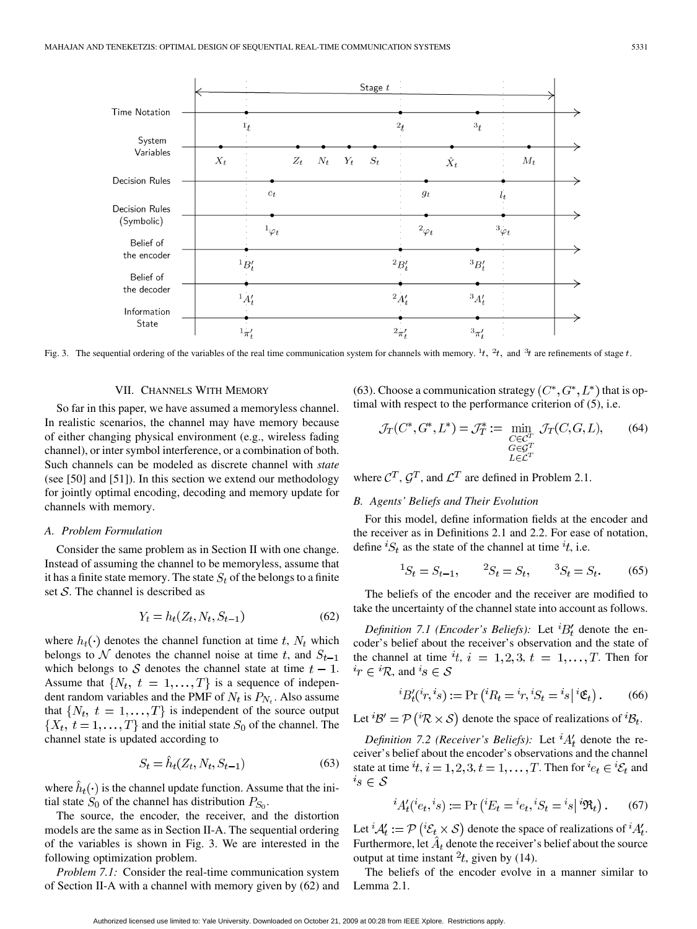

Fig. 3. The sequential ordering of the variables of the real time communication system for channels with memory. <sup>1</sup>t, <sup>2</sup>t, and <sup>3</sup>t are refinements of stage t.

## VII. CHANNELS WITH MEMORY

So far in this paper, we have assumed a memoryless channel. In realistic scenarios, the channel may have memory because of either changing physical environment (e.g., wireless fading channel), or inter symbol interference, or a combination of both. Such channels can be modeled as discrete channel with *state* (see [50] and [51]). In this section we extend our methodology for jointly optimal encoding, decoding and memory update for channels with memory.

#### *A. Problem Formulation*

Consider the same problem as in Section II with one change. Instead of assuming the channel to be memoryless, assume that it has a finite state memory. The state  $S_t$  of the belongs to a finite set  $S$ . The channel is described as

$$
Y_t = h_t(Z_t, N_t, S_{t-1})
$$
\n(62)

where  $h_t(\cdot)$  denotes the channel function at time t,  $N_t$  which belongs to  $\mathcal N$  denotes the channel noise at time t, and  $S_{t-1}$ which belongs to S denotes the channel state at time  $t - 1$ . Assume that  $\{N_t, t = 1, \ldots, T\}$  is a sequence of independent random variables and the PMF of  $N_t$  is  $P_{N_t}$ . Also assume that  $\{N_t, t = 1, ..., T\}$  is independent of the source output  $\{X_t, t = 1, \ldots, T\}$  and the initial state  $S_0$  of the channel. The channel state is updated according to

$$
S_t = \dot{h}_t(Z_t, N_t, S_{t-1})\tag{63}
$$

where  $\hat{h}_t(\cdot)$  is the channel update function. Assume that the initial state  $S_0$  of the channel has distribution  $P_{S_0}$ .

The source, the encoder, the receiver, and the distortion models are the same as in Section II-A. The sequential ordering of the variables is shown in Fig. 3. We are interested in the following optimization problem.

*Problem 7.1:* Consider the real-time communication system of Section II-A with a channel with memory given by (62) and (63). Choose a communication strategy  $(C^*, G^*, L^*)$  that is optimal with respect to the performance criterion of (5), i.e.

$$
\mathcal{J}_T(C^*, G^*, L^*) = \mathcal{J}_T^* := \min_{\substack{C \in \mathcal{C}^T \\ G \in \mathcal{G}^T \\ L \in \mathcal{L}^T}} \mathcal{J}_T(C, G, L), \qquad (64)
$$

where  $C^T$ ,  $G^T$ , and  $\mathcal{L}^T$  are defined in Problem 2.1.

# *B. Agents' Beliefs and Their Evolution*

For this model, define information fields at the encoder and the receiver as in Definitions 2.1 and 2.2. For ease of notation, define  ${}^{i}S_{t}$  as the state of the channel at time  ${}^{i}t$ , i.e.

$$
{}^{1}S_{t} = S_{t-1}, \qquad {}^{2}S_{t} = S_{t}, \qquad {}^{3}S_{t} = S_{t}.
$$
 (65)

The beliefs of the encoder and the receiver are modified to take the uncertainty of the channel state into account as follows.

*Definition 7.1 (Encoder's Beliefs):* Let  ${}^{i}B'_{t}$  denote the encoder's belief about the receiver's observation and the state of the channel at time  $i$ ,  $i = 1, 2, 3, t = 1, \ldots, T$ . Then for  $i_r \in {^i\mathcal{R}}$ , and  $i_s \in \mathcal{S}$ 

$$
{}^{i}B'_{t}({}^{i}r,{}^{i}s) := \Pr\left({}^{i}R_{t} = {}^{i}r,{}^{i}S_{t} = {}^{i}s\big| {}^{i}\mathfrak{E}_{t}\right). \tag{66}
$$

Let  ${}^{i}B' = \mathcal{P} ({}^{i}R \times S)$  denote the space of realizations of  ${}^{i}B_t$ .

*Definition 7.2 (Receiver's Beliefs):* Let  ${}^{i}A'_{t}$  denote the receiver's belief about the encoder's observations and the channel state at time  $i_t$ ,  $i = 1, 2, 3, t = 1, \ldots, T$ . Then for  $i_{e_t} \in {}^i{\mathcal{E}}_t$  and  $i_S \in \mathcal{S}$ 

$$
{}^{i}A'_{t}({}^{i}e_{t},{}^{i}s) := \Pr\left({}^{i}E_{t} = {}^{i}e_{t},{}^{i}S_{t} = {}^{i}s|{}^{i}\Re_{t}\right). \tag{67}
$$

Let  ${}^{i}A'_{t} := \mathcal{P}\left({}^{i}\mathcal{E}_{t} \times \mathcal{S}\right)$  denote the space of realizations of  ${}^{i}A'_{t}$ . Furthermore, let  $\hat{A}_t$  denote the receiver's belief about the source output at time instant  $2t$ , given by (14).

The beliefs of the encoder evolve in a manner similar to Lemma 2.1.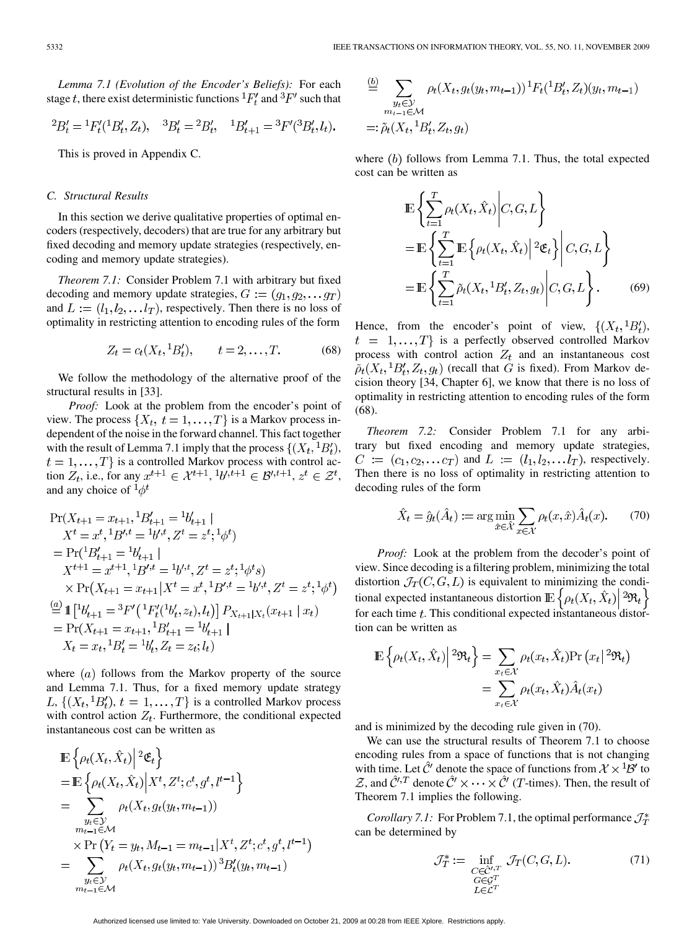*Lemma 7.1 (Evolution of the Encoder's Beliefs):* For each stage t, there exist deterministic functions  ${}^1F'_t$  and  ${}^3F'$  such that

$$
{}^{2}B'_{t} = {}^{1}F'_{t}({}^{1}B'_{t}, Z_{t}), \quad {}^{3}B'_{t} = {}^{2}B'_{t}, \quad {}^{1}B'_{t+1} = {}^{3}F'({}^{3}B'_{t}, l_{t}).
$$

This is proved in Appendix C.

## *C. Structural Results*

In this section we derive qualitative properties of optimal encoders (respectively, decoders) that are true for any arbitrary but fixed decoding and memory update strategies (respectively, encoding and memory update strategies).

*Theorem 7.1:* Consider Problem 7.1 with arbitrary but fixed decoding and memory update strategies,  $G := (g_1, g_2, \dots g_T)$ and  $L := (l_1, l_2, \ldots l_T)$ , respectively. Then there is no loss of optimality in restricting attention to encoding rules of the form

$$
Z_t = c_t(X_t, {}^1B'_t), \qquad t = 2, \dots, T.
$$
 (68)

We follow the methodology of the alternative proof of the structural results in [33].

*Proof:* Look at the problem from the encoder's point of view. The process  $\{X_t, t = 1, ..., T\}$  is a Markov process independent of the noise in the forward channel. This fact together with the result of Lemma 7.1 imply that the process  $\{(X_t,{}^1B'_t),\}$  $t = 1, \ldots, T$  is a controlled Markov process with control action  $Z_t$ , i.e., for any  $x^{t+1} \in \mathcal{X}^{t+1}$ ,  ${}^{1}b^{t}$ ,  ${}^{t+1} \in \mathcal{B}'^{t+1}$ ,  $z^t \in \mathcal{Z}^t$ , and any choice of  $\frac{1}{\phi}t$ 

$$
\Pr(X_{t+1} = x_{t+1}, \frac{1}{B'_{t+1}} = \frac{1}{b'_{t+1}}|
$$
\n
$$
X^t = x^t, \frac{1}{B'}^t = \frac{1}{b'}^t, Z^t = z^t, \frac{1}{\phi^t}
$$
\n
$$
= \Pr(\frac{1}{B'_{t+1}} = \frac{1}{b'_{t+1}}|
$$
\n
$$
X^{t+1} = x^{t+1}, \frac{1}{B'}^t = \frac{1}{b'}^t, Z^t = z^t, \frac{1}{\phi^t s}
$$
\n
$$
\times \Pr(X_{t+1} = x_{t+1} | X^t = x^t, \frac{1}{B'}^t = \frac{1}{b'}^t, Z^t = z^t, \frac{1}{\phi^t})
$$
\n
$$
\stackrel{(a)}{=} \mathbb{1} [\frac{1}{b'_{t+1}} = \frac{3}{b'} (\frac{1}{B'_{t}} (\frac{1}{b'_{t}}, z_{t}), l_{t})] P_{X_{t+1} | X_t} (x_{t+1} | x_t)
$$
\n
$$
= \Pr(X_{t+1} = x_{t+1}, \frac{1}{B'_{t+1}} = \frac{1}{b'_{t+1}}|
$$
\n
$$
X_t = x_t, \frac{1}{B'_t} = \frac{1}{b'_t}, Z_t = z_t; l_t)
$$

where  $(a)$  follows from the Markov property of the source and Lemma 7.1. Thus, for a fixed memory update strategy L,  $\{(X_t, {}^1B'_t), t = 1, \ldots, T\}$  is a controlled Markov process with control action  $Z_t$ . Furthermore, the conditional expected instantaneous cost can be written as

$$
\mathbb{E}\left\{\rho_t(X_t, \hat{X}_t)\middle|{}^2 \mathfrak{E}_t\right\} \n= \mathbb{E}\left\{\rho_t(X_t, \hat{X}_t)\middle|X^t, Z^t; c^t, g^t, l^{t-1}\right\} \n= \sum_{\substack{y_t \in \mathcal{Y} \\ m_{t-1} \in \mathcal{M}}} \rho_t(X_t, g_t(y_t, m_{t-1})) \n\times \Pr(Y_t = y_t, M_{t-1} = m_{t-1}|X^t, Z^t; c^t, g^t, l^{t-1}) \n= \sum_{\substack{y_t \in \mathcal{Y} \\ m_{t-1} \in \mathcal{M}}} \rho_t(X_t, g_t(y_t, m_{t-1}))^3 B'_t(y_t, m_{t-1})
$$

$$
\stackrel{(b)}{=} \sum_{\substack{y_t \in \mathcal{Y} \\ m_{t-1} \in \mathcal{M}}} \rho_t(X_t, g_t(y_t, m_{t-1}))^1 F_t({}^1B'_t, Z_t)(y_t, m_{t-1})
$$
  
=:  $\tilde{\rho}_t(X_t, {}^1B'_t, Z_t, g_t)$ 

where  $(b)$  follows from Lemma 7.1. Thus, the total expected cost can be written as

$$
\mathbb{E}\left\{\sum_{t=1}^{T}\rho_t(X_t,\hat{X}_t)\middle|C,G,L\right\}
$$
\n
$$
=\mathbb{E}\left\{\sum_{t=1}^{T}\mathbb{E}\left\{\rho_t(X_t,\hat{X}_t)\middle|{}^2\mathfrak{E}_t\right\}\middle|C,G,L\right\}
$$
\n
$$
=\mathbb{E}\left\{\sum_{t=1}^{T}\tilde{\rho}_t(X_t,{}^1B'_t,Z_t,g_t)\middle|C,G,L\right\}.\tag{69}
$$

Hence, from the encoder's point of view,  $\{(X_t, {}^1B'_t),\}$  $t = 1, ..., T$  is a perfectly observed controlled Markov process with control action  $Z_t$  and an instantaneous cost  $\tilde{\rho}_t(X_t, {}^1B'_t, Z_t, g_t)$  (recall that G is fixed). From Markov decision theory [34, Chapter 6], we know that there is no loss of optimality in restricting attention to encoding rules of the form (68).

*Theorem 7.2:* Consider Problem 7.1 for any arbitrary but fixed encoding and memory update strategies,  $C := (c_1, c_2, \dots c_T)$  and  $L := (l_1, l_2, \dots l_T)$ , respectively. Then there is no loss of optimality in restricting attention to decoding rules of the form

$$
\hat{X}_t = \hat{g}_t(\hat{A}_t) := \arg\min_{\hat{x}\in\hat{\mathcal{X}}} \sum_{x\in\mathcal{X}} \rho_t(x, \hat{x}) \hat{A}_t(x). \tag{70}
$$

*Proof:* Look at the problem from the decoder's point of view. Since decoding is a filtering problem, minimizing the total distortion  $\mathcal{J}_T(C, G, L)$  is equivalent to minimizing the conditional expected instantaneous distortion  $\mathbb{E}\left\{\rho_t(X_t, \hat{X}_t) \middle| \, \frac{2\Re_t}{\sigma_t}\right\}$ for each time  $t$ . This conditional expected instantaneous distortion can be written as

$$
\mathbb{E}\left\{\rho_t(X_t, \hat{X}_t)\middle|{}^2\mathfrak{R}_t\right\} = \sum_{x_t \in \mathcal{X}} \rho_t(x_t, \hat{X}_t) \Pr(x_t|{}^2\mathfrak{R}_t)
$$

$$
= \sum_{x_t \in \mathcal{X}} \rho_t(x_t, \hat{X}_t) \hat{A}_t(x_t)
$$

and is minimized by the decoding rule given in (70).

We can use the structural results of Theorem 7.1 to choose encoding rules from a space of functions that is not changing with time. Let  $\hat{C}'$  denote the space of functions from  $\mathcal{X} \times {}^1\mathcal{B}'$  to  $\mathcal{Z}$ , and  $\hat{\mathcal{C}}^{\prime,T}$  denote  $\hat{\mathcal{C}}^{\prime} \times \cdots \times \hat{\mathcal{C}}^{\prime}$  (*T*-times). Then, the result of Theorem 7.1 implies the following.

*Corollary 7.1:* For Problem 7.1, the optimal performance  $\mathcal{J}_{T}^{*}$ can be determined by

$$
\mathcal{J}_T^* := \inf_{\substack{C \in \hat{\mathcal{C}}^{\prime}, T \\ G \in \mathcal{G}^T \\ L \in \mathcal{L}^T}} \mathcal{J}_T(C, G, L). \tag{71}
$$

Authorized licensed use limited to: Yale University. Downloaded on October 21, 2009 at 00:28 from IEEE Xplore. Restrictions apply.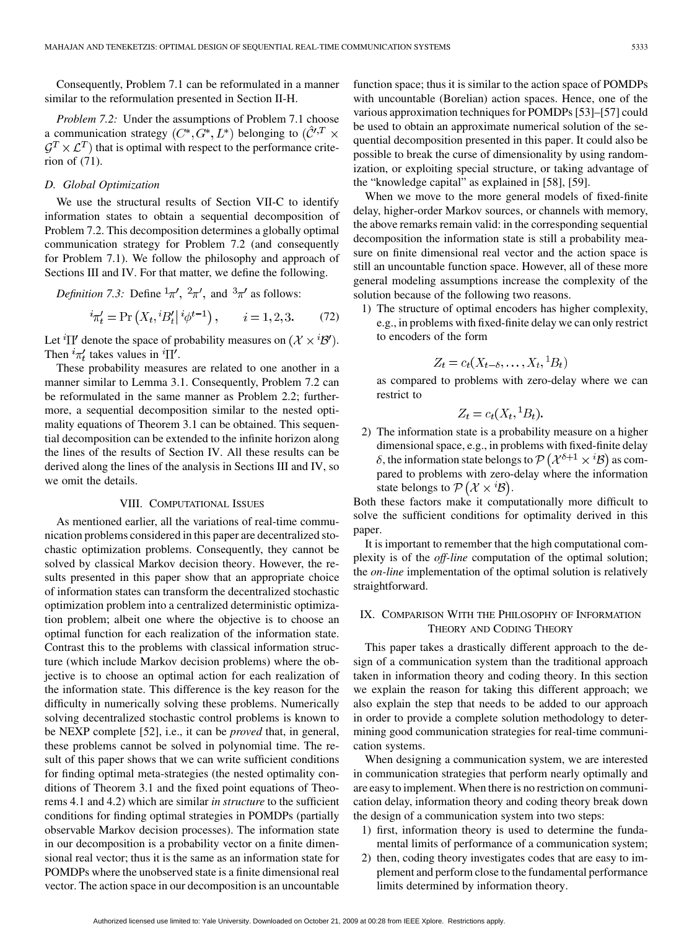Consequently, Problem 7.1 can be reformulated in a manner similar to the reformulation presented in Section II-H.

*Problem 7.2:* Under the assumptions of Problem 7.1 choose a communication strategy  $(C^*, G^*, L^*)$  belonging to  $(\mathcal{C}'^T \times$  $\mathcal{G}^T \times \mathcal{L}^T$ ) that is optimal with respect to the performance criterion of (71).

## *D. Global Optimization*

We use the structural results of Section VII-C to identify information states to obtain a sequential decomposition of Problem 7.2. This decomposition determines a globally optimal communication strategy for Problem 7.2 (and consequently for Problem 7.1). We follow the philosophy and approach of Sections III and IV. For that matter, we define the following.

*Definition 7.3:* Define  $\frac{1}{4}\pi$ ,  $\frac{2}{\pi}$ , and  $\frac{3\pi}{4}$  as follows:

$$
{}^{i}\pi'_{t} = \Pr\left(X_{t}, {}^{i}B'_{t} | {}^{i}\phi^{t-1}\right), \qquad i = 1, 2, 3. \tag{72}
$$

Let  ${}^{i}\Pi'$  denote the space of probability measures on  $(\mathcal{X} \times {}^{i}\mathcal{B}')$ . Then  ${}^{i}\pi'_{t}$  takes values in  ${}^{i}\Pi'$ .

These probability measures are related to one another in a manner similar to Lemma 3.1. Consequently, Problem 7.2 can be reformulated in the same manner as Problem 2.2; furthermore, a sequential decomposition similar to the nested optimality equations of Theorem 3.1 can be obtained. This sequential decomposition can be extended to the infinite horizon along the lines of the results of Section IV. All these results can be derived along the lines of the analysis in Sections III and IV, so we omit the details.

#### VIII. COMPUTATIONAL ISSUES

As mentioned earlier, all the variations of real-time communication problems considered in this paper are decentralized stochastic optimization problems. Consequently, they cannot be solved by classical Markov decision theory. However, the results presented in this paper show that an appropriate choice of information states can transform the decentralized stochastic optimization problem into a centralized deterministic optimization problem; albeit one where the objective is to choose an optimal function for each realization of the information state. Contrast this to the problems with classical information structure (which include Markov decision problems) where the objective is to choose an optimal action for each realization of the information state. This difference is the key reason for the difficulty in numerically solving these problems. Numerically solving decentralized stochastic control problems is known to be NEXP complete [52], i.e., it can be *proved* that, in general, these problems cannot be solved in polynomial time. The result of this paper shows that we can write sufficient conditions for finding optimal meta-strategies (the nested optimality conditions of Theorem 3.1 and the fixed point equations of Theorems 4.1 and 4.2) which are similar *in structure* to the sufficient conditions for finding optimal strategies in POMDPs (partially observable Markov decision processes). The information state in our decomposition is a probability vector on a finite dimensional real vector; thus it is the same as an information state for POMDPs where the unobserved state is a finite dimensional real vector. The action space in our decomposition is an uncountable

function space; thus it is similar to the action space of POMDPs with uncountable (Borelian) action spaces. Hence, one of the various approximation techniques for POMDPs [53]–[57] could be used to obtain an approximate numerical solution of the sequential decomposition presented in this paper. It could also be possible to break the curse of dimensionality by using randomization, or exploiting special structure, or taking advantage of the "knowledge capital" as explained in [58], [59].

When we move to the more general models of fixed-finite delay, higher-order Markov sources, or channels with memory, the above remarks remain valid: in the corresponding sequential decomposition the information state is still a probability measure on finite dimensional real vector and the action space is still an uncountable function space. However, all of these more general modeling assumptions increase the complexity of the solution because of the following two reasons.

1) The structure of optimal encoders has higher complexity, e.g., in problems with fixed-finite delay we can only restrict to encoders of the form

$$
Z_t = c_t(X_{t-\delta}, \dots, X_t, {}^1B_t)
$$

as compared to problems with zero-delay where we can restrict to

$$
Z_t = c_t(X_t, {}^1B_t).
$$

2) The information state is a probability measure on a higher dimensional space, e.g., in problems with fixed-finite delay  $\delta$ , the information state belongs to  $\mathcal{P}(\mathcal{X}^{\delta+1}\times i\mathcal{B})$  as compared to problems with zero-delay where the information state belongs to  $\mathcal{P}(\mathcal{X} \times \mathcal{B})$ .

Both these factors make it computationally more difficult to solve the sufficient conditions for optimality derived in this paper.

It is important to remember that the high computational complexity is of the *off-line* computation of the optimal solution; the *on-line* implementation of the optimal solution is relatively straightforward.

# IX. COMPARISON WITH THE PHILOSOPHY OF INFORMATION THEORY AND CODING THEORY

This paper takes a drastically different approach to the design of a communication system than the traditional approach taken in information theory and coding theory. In this section we explain the reason for taking this different approach; we also explain the step that needs to be added to our approach in order to provide a complete solution methodology to determining good communication strategies for real-time communication systems.

When designing a communication system, we are interested in communication strategies that perform nearly optimally and are easy to implement. When there is no restriction on communication delay, information theory and coding theory break down the design of a communication system into two steps:

- 1) first, information theory is used to determine the fundamental limits of performance of a communication system;
- 2) then, coding theory investigates codes that are easy to implement and perform close to the fundamental performance limits determined by information theory.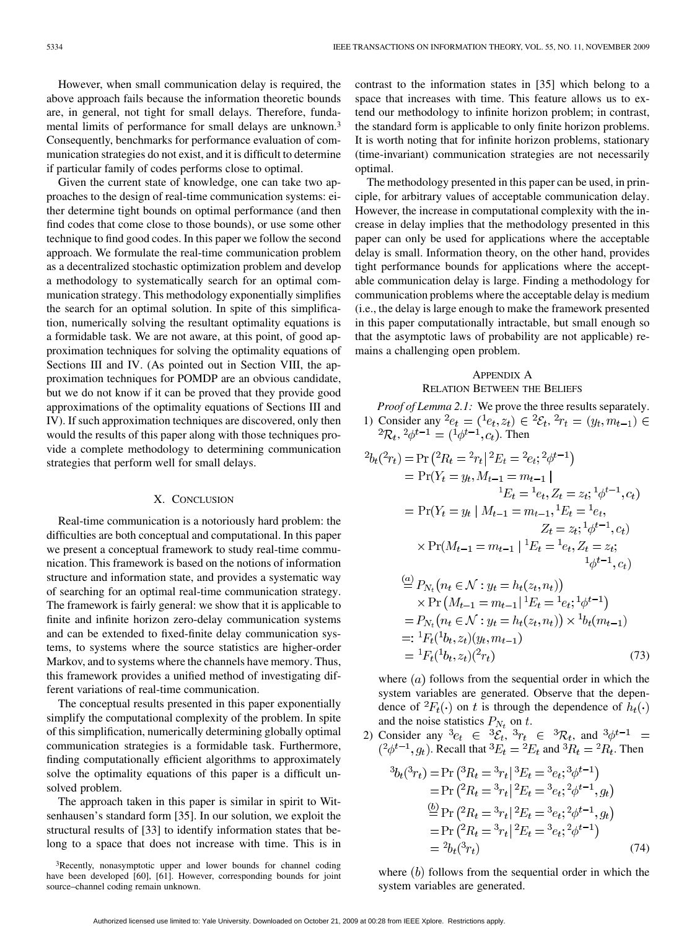However, when small communication delay is required, the above approach fails because the information theoretic bounds are, in general, not tight for small delays. Therefore, fundamental limits of performance for small delays are unknown.3 Consequently, benchmarks for performance evaluation of communication strategies do not exist, and it is difficult to determine if particular family of codes performs close to optimal.

Given the current state of knowledge, one can take two approaches to the design of real-time communication systems: either determine tight bounds on optimal performance (and then find codes that come close to those bounds), or use some other technique to find good codes. In this paper we follow the second approach. We formulate the real-time communication problem as a decentralized stochastic optimization problem and develop a methodology to systematically search for an optimal communication strategy. This methodology exponentially simplifies the search for an optimal solution. In spite of this simplification, numerically solving the resultant optimality equations is a formidable task. We are not aware, at this point, of good approximation techniques for solving the optimality equations of Sections III and IV. (As pointed out in Section VIII, the approximation techniques for POMDP are an obvious candidate, but we do not know if it can be proved that they provide good approximations of the optimality equations of Sections III and IV). If such approximation techniques are discovered, only then would the results of this paper along with those techniques provide a complete methodology to determining communication strategies that perform well for small delays.

# X. CONCLUSION

Real-time communication is a notoriously hard problem: the difficulties are both conceptual and computational. In this paper we present a conceptual framework to study real-time communication. This framework is based on the notions of information structure and information state, and provides a systematic way of searching for an optimal real-time communication strategy. The framework is fairly general: we show that it is applicable to finite and infinite horizon zero-delay communication systems and can be extended to fixed-finite delay communication systems, to systems where the source statistics are higher-order Markov, and to systems where the channels have memory. Thus, this framework provides a unified method of investigating different variations of real-time communication.

The conceptual results presented in this paper exponentially simplify the computational complexity of the problem. In spite of this simplification, numerically determining globally optimal communication strategies is a formidable task. Furthermore, finding computationally efficient algorithms to approximately solve the optimality equations of this paper is a difficult unsolved problem.

The approach taken in this paper is similar in spirit to Witsenhausen's standard form [35]. In our solution, we exploit the structural results of [33] to identify information states that belong to a space that does not increase with time. This is in contrast to the information states in [35] which belong to a space that increases with time. This feature allows us to extend our methodology to infinite horizon problem; in contrast, the standard form is applicable to only finite horizon problems. It is worth noting that for infinite horizon problems, stationary (time-invariant) communication strategies are not necessarily optimal.

The methodology presented in this paper can be used, in principle, for arbitrary values of acceptable communication delay. However, the increase in computational complexity with the increase in delay implies that the methodology presented in this paper can only be used for applications where the acceptable delay is small. Information theory, on the other hand, provides tight performance bounds for applications where the acceptable communication delay is large. Finding a methodology for communication problems where the acceptable delay is medium (i.e., the delay is large enough to make the framework presented in this paper computationally intractable, but small enough so that the asymptotic laws of probability are not applicable) remains a challenging open problem.

# APPENDIX A

# RELATION BETWEEN THE BELIEFS

*Proof of Lemma 2.1:* We prove the three results separately. 1) Consider any  $e_t = (e_t, z_t) \in {}^2{\mathcal{E}}_t, {}^2r_t = (y_t, m_{t-1}) \in$  ${}^{2}\mathcal{R}_{t}$ ,  ${}^{2}\phi^{t-1} = ({}^{1}\phi^{t-1}, c_{t})$ . Then

$$
{}^{2}b_{t}({}^{2}r_{t}) = \Pr\left({}^{2}R_{t} = {}^{2}r_{t}\right){}^{2}E_{t} = {}^{2}e_{t}; {}^{2}\phi^{t-1})
$$
  
\n
$$
= \Pr(Y_{t} = y_{t}, M_{t-1} = m_{t-1} |
$$
  
\n
$$
{}^{1}E_{t} = {}^{1}e_{t}, Z_{t} = z_{t}; {}^{1}\phi^{t-1}, c_{t})
$$
  
\n
$$
= \Pr(Y_{t} = y_{t} | M_{t-1} = m_{t-1}, {}^{1}E_{t} = {}^{1}e_{t},
$$
  
\n
$$
Z_{t} = z_{t}; {}^{1}\phi^{t-1}, c_{t})
$$
  
\n
$$
\times \Pr(M_{t-1} = m_{t-1} | {}^{1}E_{t} = {}^{1}e_{t}, Z_{t} = z_{t};
$$
  
\n
$$
{}^{1}\phi^{t-1}, c_{t})
$$
  
\n
$$
\stackrel{(a)}{=} P_{N_{t}}(n_{t} \in \mathcal{N} : y_{t} = h_{t}(z_{t}, n_{t}))
$$
  
\n
$$
\times \Pr(M_{t-1} = m_{t-1} | {}^{1}E_{t} = {}^{1}e_{t}; {}^{1}\phi^{t-1})
$$
  
\n
$$
= P_{N_{t}}(n_{t} \in \mathcal{N} : y_{t} = h_{t}(z_{t}, n_{t})) \times {}^{1}b_{t}(m_{t-1})
$$
  
\n
$$
= : {}^{1}F_{t}({}^{1}b_{t}, z_{t})(y_{t}, m_{t-1})
$$

$$
= {}^{1}F_{t}({}^{1}b_{t}, z_{t})({}^{2}r_{t})
$$
\n(73)

where  $(a)$  follows from the sequential order in which the system variables are generated. Observe that the dependence of  ${}^2F_t(\cdot)$  on t is through the dependence of  $h_t(\cdot)$ and the noise statistics  $P_{N_t}$  on t.

2) Consider any  ${}^3e_t \in {}^3{\mathcal{E}}_t, {}^3r_t \in {}^3{\mathcal{R}}_t$ , and  ${}^3\phi^{t-1} =$  $(2\phi^{t-1}, g_t)$ . Recall that  ${}^3E_t = {}^2E_t$  and  ${}^3R_t = {}^2R_t$ . Then

$$
{}^{3}b_{t}({}^{3}r_{t}) = \Pr\left({}^{3}R_{t} = {}^{3}r_{t}\right] {}^{3}E_{t} = {}^{3}e_{t}; {}^{3}\phi^{t-1})
$$
  
\n
$$
= \Pr\left({}^{2}R_{t} = {}^{3}r_{t}\right] {}^{2}E_{t} = {}^{3}e_{t}; {}^{2}\phi^{t-1}, g_{t})
$$
  
\n
$$
\stackrel{(b)}{=} \Pr\left({}^{2}R_{t} = {}^{3}r_{t}\right] {}^{2}E_{t} = {}^{3}e_{t}; {}^{2}\phi^{t-1}, g_{t})
$$
  
\n
$$
= \Pr\left({}^{2}R_{t} = {}^{3}r_{t}\right] {}^{2}E_{t} = {}^{3}e_{t}; {}^{2}\phi^{t-1})
$$
  
\n
$$
= {}^{2}b_{t}({}^{3}r_{t})
$$
  
\n(74)

where  $(b)$  follows from the sequential order in which the system variables are generated.

<sup>3</sup>Recently, nonasymptotic upper and lower bounds for channel coding have been developed [60], [61]. However, corresponding bounds for joint source–channel coding remain unknown.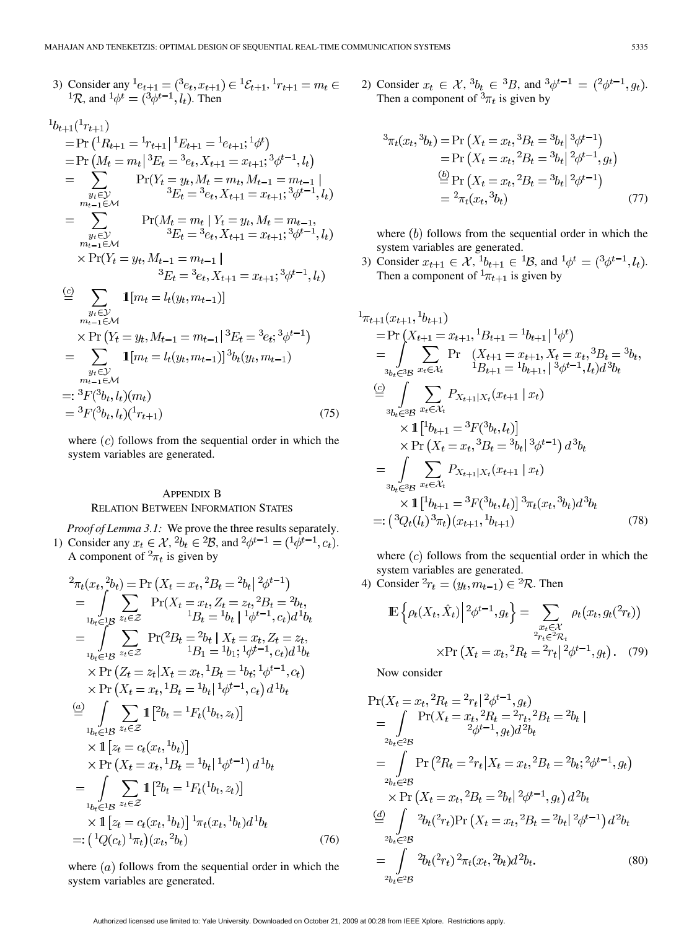3) Consider any 
$$
{}^{1}e_{t+1} = ({}^{3}e_{t}, x_{t+1}) \in {}^{1}\mathcal{E}_{t+1}, {}^{1}r_{t+1} = m_{t} \in {}^{1}\mathcal{R}
$$
, and  ${}^{1}\phi^{t} = ({}^{3}\phi^{t-1}, l_{t})$ . Then

$$
{}^{1}b_{t+1}({}^{1}r_{t+1})
$$
\n
$$
= Pr ({}^{1}R_{t+1} = {}^{1}r_{t+1}| {}^{1}E_{t+1} = {}^{1}e_{t+1}; {}^{1}\phi^{t})
$$
\n
$$
= Pr ({}^{M}t = m_{t}| {}^{3}E_{t} = {}^{3}e_{t}, X_{t+1} = x_{t+1}; {}^{3}\phi^{t-1}, l_{t})
$$
\n
$$
= \sum_{\substack{y_{t} \in \mathcal{Y} \\ m_{t-1} \in \mathcal{M}}} Pr(Y_{t} = y_{t}, M_{t} = m_{t}, M_{t-1} = m_{t-1} |
$$
\n
$$
= \sum_{\substack{y_{t} \in \mathcal{Y} \\ m_{t-1} \in \mathcal{M}}} Pr(M_{t} = m_{t}| Y_{t} = y_{t}, M_{t} = m_{t-1},
$$
\n
$$
{}^{3}E_{t} = {}^{3}e_{t}, X_{t+1} = x_{t+1}; {}^{3}\phi^{t-1}, l_{t})
$$
\n
$$
\times Pr(Y_{t} = y_{t}, M_{t-1} = m_{t-1} |
$$
\n
$$
{}^{3}E_{t} = {}^{3}e_{t}, X_{t+1} = x_{t+1}; {}^{3}\phi^{t-1}, l_{t})
$$
\n
$$
\overset{(c)}{=} \sum_{\substack{y_{t} \in \mathcal{Y} \\ m_{t-1} \in \mathcal{M}}} 1 [m_{t} = l_{t}(y_{t}, m_{t-1})]
$$
\n
$$
= \sum_{\substack{y_{t} \in \mathcal{Y} \\ m_{t-1} \in \mathcal{M}}} 1 [m_{t} = l_{t}(y_{t}, m_{t-1})]
$$
\n
$$
= \sum_{\substack{y_{t} \in \mathcal{Y} \\ m_{t-1} \in \mathcal{M}}} 1 [m_{t} = l_{t}(y_{t}, m_{t-1})] {}^{3}b_{t}(y_{t}, m_{t-1})
$$
\n
$$
= {}^{3}F(^{3}b_{t}, l_{t})(m_{t})
$$
\n
$$
= {}^{3}F(^{3}b_{t}, l_{t})(m_{t})
$$
\n
$$
= {}^{3}F(^{3}b_{t
$$

where  $(c)$  follows from the sequential order in which the system variables are generated.

# APPENDIX B RELATION BETWEEN INFORMATION STATES

*Proof of Lemma 3.1:* We prove the three results separately. 1) Consider any  $x_t \in \mathcal{X}$ ,  ${}^2b_t \in {}^2\mathcal{B}$ , and  ${}^2\phi^{t-1} = ({}^1\phi^{t-1}, c_t)$ . A component of  ${}^2\pi_t$  is given by

$$
{}^{2}\pi_{t}(x_{t}, {}^{2}b_{t}) = \Pr(X_{t} = x_{t}, {}^{2}B_{t} = {}^{2}b_{t} | {}^{2}\phi^{t-1})
$$
\n
$$
= \int_{{}^{1}b_{t} \in {}^{1}B} \sum_{z_{t} \in \mathcal{Z}} \Pr(X_{t} = x_{t}, Z_{t} = z_{t}, {}^{2}B_{t} = {}^{2}b_{t},
$$
\n
$$
{}^{1}B_{t} = {}^{1}b_{t} | {}^{1}\phi^{t-1}, c_{t} d {}^{1}b_{t}
$$
\n
$$
= \int_{{}^{1}b_{t} \in {}^{1}B} \sum_{z_{t} \in \mathcal{Z}} \Pr({}^{2}B_{t} = {}^{2}b_{t} | X_{t} = x_{t}, Z_{t} = z_{t},
$$
\n
$$
{}^{1}B_{1} = {}^{1}b_{1}; {}^{1}\phi^{t-1}, c_{t} d {}^{1}b_{t}
$$
\n
$$
\times \Pr(Z_{t} = z_{t} | X_{t} = x_{t}, {}^{1}B_{t} = {}^{1}b_{t}; {}^{1}\phi^{t-1}, c_{t})
$$
\n
$$
\times \Pr(X_{t} = x_{t}, {}^{1}B_{t} = {}^{1}b_{t} | {}^{1}\phi^{t-1}, c_{t}) d {}^{1}b_{t}
$$
\n
$$
\stackrel{(a)}{=} \int_{{}^{1}b_{t} \in {}^{1}B} \sum_{z_{t} \in \mathcal{Z}} 1 \left[ {}^{2}b_{t} = {}^{1}F_{t}({}^{1}b_{t}, z_{t}) \right]
$$
\n
$$
\times \Pr(X_{t} = x_{t}, {}^{1}B_{t} = {}^{1}b_{t} | {}^{1}\phi^{t-1}) d {}^{1}b_{t}
$$
\n
$$
= \int_{{}^{1}b_{t} \in {}^{1}B} \sum_{z_{t} \in \mathcal{Z}} 1 \left[ {}^{2}b_{t} = {}^{1}F_{t}({}^{1}b_{t}, z_{t}) \right]
$$
\n
$$
\times \Pr(X_{t} = x_{t}, {}^{1}B_{t} = {}^{1}b_{t} | {}^{1}\phi^{t-1}) d {}^{1}b_{t}
$$
\n
$$
= \int_{{}^{1}b_{t} \
$$

where  $(a)$  follows from the sequential order in which the system variables are generated.

2) Consider  $x_t \in \mathcal{X}$ ,  ${}^3b_t \in {}^3B$ , and  ${}^3\phi^{t-1} = ({}^2\phi^{t-1}, g_t)$ . Then a component of  ${}^{3}\pi_t$  is given by

$$
{}^{3}\pi_{t}(x_{t}, {}^{3}b_{t}) = \Pr(X_{t} = x_{t}, {}^{3}B_{t} = {}^{3}b_{t} | {}^{3}\phi^{t-1})
$$
  
\n
$$
= \Pr(X_{t} = x_{t}, {}^{2}B_{t} = {}^{3}b_{t} | {}^{2}\phi^{t-1}, g_{t})
$$
  
\n
$$
\stackrel{\text{(b)}}{=} \Pr(X_{t} = x_{t}, {}^{2}B_{t} = {}^{3}b_{t} | {}^{2}\phi^{t-1})
$$
  
\n
$$
= {}^{2}\pi_{t}(x_{t}, {}^{3}b_{t})
$$
\n(77)

where  $(b)$  follows from the sequential order in which the system variables are generated.

3) Consider  $x_{t+1} \in \mathcal{X}, \, ^{1}b_{t+1} \in {}^{1}B$ , and  $^{1}\phi^{t} = ({}^{3}\phi^{t-1}, l_t)$ . Then a component of  ${}^{1}\pi_{t+1}$  is given by

$$
{}_{\pi_{t+1}}(x_{t+1}, {}^{1}b_{t+1})
$$
\n
$$
= \Pr\left(X_{t+1} = x_{t+1}, {}^{1}B_{t+1} = {}^{1}b_{t+1} | {}^{1}\phi^{t}\right)
$$
\n
$$
= \int_{3b_{t} \in 3B} \sum_{x_{t} \in \mathcal{X}_{t}} \Pr\left(X_{t+1} = x_{t+1}, X_{t} = x_{t}, 3B_{t} = {}^{3}b_{t}, X_{t} = {}^{3}b_{t}, Y_{t} = {}^{3}b_{t}, Y_{t} = {}^{3}b_{t} = {}^{3}b_{t}, Y_{t} = {}^{3}b_{t} = {}^{3}b_{t} = {}^{3}b_{t} = {}^{3}b_{t} = {}^{3}b_{t} = {}^{3}b_{t} = {}^{3}b_{t} = {}^{3}b_{t} = {}^{3}b_{t} = {}^{3}b_{t} = {}^{3}b_{t} = {}^{3}b_{t} = {}^{3}b_{t}
$$
\n
$$
\times \Pr\left(X_{t} = x_{t}, {}^{3}B_{t} = {}^{3}b_{t} | {}^{3}\phi^{t-1}\right) d^{3}b_{t}
$$
\n
$$
= \int_{3b_{t} \in 3B} \sum_{x_{t} \in \mathcal{X}_{t}} P_{X_{t+1}|X_{t}}(x_{t+1} | x_{t})
$$
\n
$$
\times \Gamma\left[{}^{1}b_{t+1} = {}^{3}F({}^{3}b_{t}, l_{t})\right] {}^{3} \pi_{t}(x_{t}, {}^{3}b_{t}) d^{3}b_{t}
$$
\n
$$
=: \left({}^{3}Q_{t}(l_{t}) {}^{3} \pi_{t})(x_{t+1}, {}^{1}b_{t+1})\right) \qquad (78)
$$

where  $(c)$  follows from the sequential order in which the system variables are generated.

4) Consider 
$$
{}^2r_t = (y_t, m_{t-1}) \in {}^2 \mathcal{R}
$$
. Then

$$
\mathbb{E}\left\{\rho_t(X_t, \hat{X}_t)\middle| \, {}^2\phi^{t-1}, g_t\right\} = \sum_{\substack{x_t \in \mathcal{X} \\ 2r_t \in {}^2\mathcal{R}_t}} \rho_t(x_t, g_t({}^2r_t))
$$
\n
$$
\times \Pr\left(X_t = x_t, {}^2R_t = {}^2r_t \middle| \, {}^2\phi^{t-1}, g_t\right). \tag{79}
$$

Now consider

$$
\Pr(X_t = x_t, {}^2R_t = {}^2r_t | {}^2\phi^{t-1}, g_t)
$$
\n
$$
= \int_{{}^{2b_t}e^{2t}} \Pr(X_t = x_t, {}^2R_t = {}^2r_t, {}^2B_t = {}^2b_t |
$$
\n
$$
= \int_{{}^{2b_t}e^{2t}} \Pr({}^2R_t = {}^2r_t | X_t = x_t, {}^2B_t = {}^2b_t; {}^2\phi^{t-1}, g_t)
$$
\n
$$
\times \Pr(X_t = x_t, {}^2B_t = {}^2b_t | {}^2\phi^{t-1}, g_t) d^2b_t
$$
\n
$$
\stackrel{(d)}{=} \int_{{}^{2b_t}e^{2t}} {}^2b_t({}^2r_t) \Pr(X_t = x_t, {}^2B_t = {}^2b_t | {}^2\phi^{t-1}) d^2b_t
$$
\n
$$
= \int_{{}^{2b_t}e^{2t}} {}^2b_t({}^2r_t) {}^2\pi_t(x_t, {}^2b_t) d^2b_t.
$$
\n(80)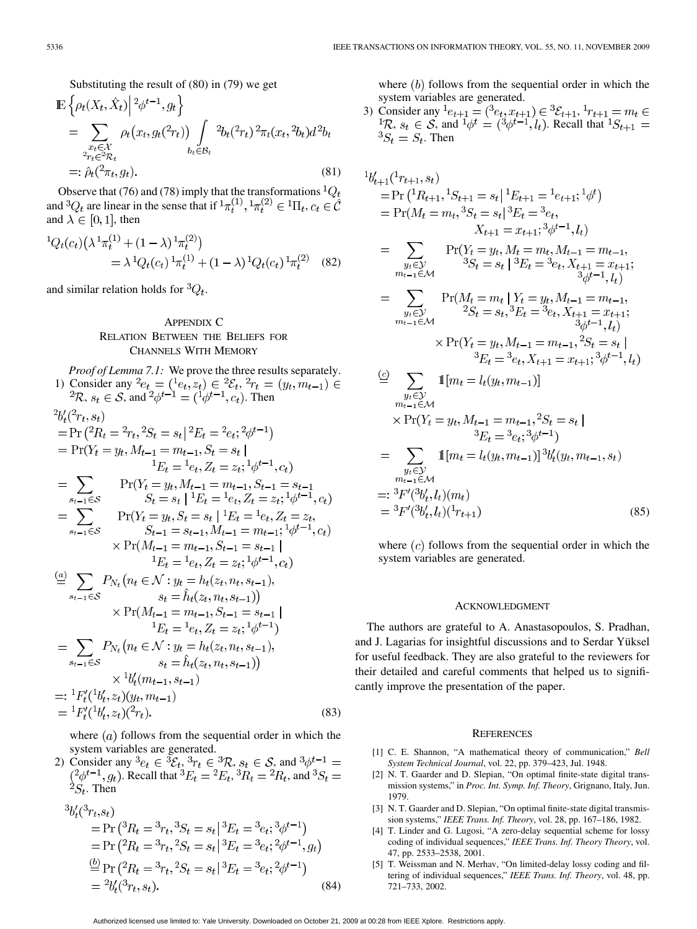Substituting the result of (80) in (79) we get

$$
\mathbb{E}\left\{\rho_t(X_t, \hat{X}_t)\middle| \begin{matrix} 2\phi^{t-1}, g_t \\ g^{t-1}, g_t \end{matrix}\right\}
$$
\n
$$
= \sum_{\substack{x_t \in \mathcal{X} \\ 2r_t \in \mathcal{R}_t}} \rho_t(x_t, g_t(\hat{z}_t)) \int_{b_t \in \mathcal{B}_t} \rho_t^2(x_t, \hat{z}_t) \cdot d^2b_t
$$
\n
$$
=:\hat{\rho}_t(\hat{z}_t, g_t). \tag{81}
$$

Observe that (76) and (78) imply that the transformations  ${}^{1}Q_{t}$ and  ${}^3Q_t$  are linear in the sense that if  ${}^1\pi_t^{(1)}, {}^1\pi_t^{(2)} \in {}^1\Pi_t$ ,  $c_t \in \hat{\mathcal{C}}$ and  $\lambda \in [0,1]$ , then

$$
{}^{1}Q_{t}(c_{t})\left(\lambda^{1}\pi_{t}^{(1)} + (1-\lambda)^{1}\pi_{t}^{(2)}\right)
$$
  
=  $\lambda^{1}Q_{t}(c_{t})^{1}\pi_{t}^{(1)} + (1-\lambda)^{1}Q_{t}(c_{t})^{1}\pi_{t}^{(2)}$  (82)

and similar relation holds for  ${}^3Q_t$ .

# APPENDIX C RELATION BETWEEN THE BELIEFS FOR CHANNELS WITH MEMORY

*Proof of Lemma 7.1:* We prove the three results separately. 1) Consider any  $e_t = (e_t, z_t) \in {}^2{\mathcal{E}}_t$ , ,  $s_t \in \mathcal{S}$ , and  $\phi^{t-1} = (\phi^{t-1}, c_t)$ . Then  $2\nu/2$ 

$$
{}_{0}C_{t}(-r_{t}, s_{t})
$$
\n
$$
= \Pr ({}^{2}R_{t} = {}^{2}r_{t}, {}^{2}S_{t} = s_{t} | {}^{2}E_{t} = {}^{2}e_{t}; {}^{2}\phi^{t-1})
$$
\n
$$
= \Pr(Y_{t} = y_{t}, M_{t-1} = m_{t-1}, S_{t} = s_{t} | {}^{1}E_{t} = {}^{1}e_{t}, Z_{t} = z_{t}; {}^{1}\phi^{t-1}, c_{t})
$$
\n
$$
= \sum_{s_{t-1} \in S} \Pr(Y_{t} = y_{t}, M_{t-1} = m_{t-1}, S_{t-1} = s_{t-1} | {}^{1}E_{t} = {}^{1}e_{t}, Z_{t} = z_{t}; {}^{1}\phi^{t-1}, c_{t})
$$
\n
$$
= \sum_{s_{t-1} \in S} \Pr(Y_{t} = y_{t}, S_{t} = s_{t} | {}^{1}E_{t} = {}^{1}e_{t}, Z_{t} = z_{t}, {}^{1}S_{t-1} = s_{t-1}, M_{t-1} = m_{t-1}; {}^{1}\phi^{t-1}, c_{t})
$$
\n
$$
\times \Pr(M_{t-1} = m_{t-1}, S_{t-1} = s_{t-1} | {}^{1}E_{t} = {}^{1}e_{t}, Z_{t} = z_{t}; {}^{1}\phi^{t-1}, c_{t})
$$
\n
$$
= \sum_{s_{t-1} \in S} P_{N_{t}}(n_{t} \in \mathcal{N} : y_{t} = h_{t}(z_{t}, n_{t}, s_{t-1}),
$$
\n
$$
\times \Pr(M_{t-1} = m_{t-1}, S_{t-1} = s_{t-1} | {}^{1}E_{t} = {}^{1}e_{t}, Z_{t} = z_{t}; {}^{1}\phi^{t-1})
$$
\n
$$
= \sum_{s_{t-1} \in S} P_{N_{t}}(n_{t} \in \mathcal{N} : y_{t} = h_{t}(z_{t}, n_{t}, s_{t-1}),
$$
\n
$$
=: {}^{1}F'_{t}({}^{1}b'_{t}, z_{t})(y_{t}, m_{t-1})
$$
\n
$$
=: {}^{1}F'_{t}({}^{1}b'_{t}, z_{t})(
$$

where  $(a)$  follows from the sequential order in which the system variables are generated.

2) Consider any  ${}^3e_t \in {}^3{\mathcal{E}}_t, {}^3r_t \in {}^3\mathcal{R}, s_t \in \mathcal{S}$ , and . Recall that  ${}^3E_t = {}^2E_t$ ,  ${}^3R_t = {}^2R_t$ , and  ${}^{\grave{2}}S_t$ . Then

$$
{}^{3}b'_{t}({}^{3}r_{t},s_{t})
$$
\n= Pr( ${}^{3}R_{t} = {}^{3}r_{t}, {}^{3}S_{t} = s_{t} | {}^{3}E_{t} = {}^{3}e_{t}; {}^{3}\phi^{t-1}$ )\n  
\n= Pr( ${}^{2}R_{t} = {}^{3}r_{t}, {}^{2}S_{t} = s_{t} | {}^{3}E_{t} = {}^{3}e_{t}; {}^{2}\phi^{t-1}, g_{t}$ )\n  
\n $\stackrel{(b)}{=} \Pr({}^{2}R_{t} = {}^{3}r_{t}, {}^{2}S_{t} = s_{t} | {}^{3}E_{t} = {}^{3}e_{t}; {}^{2}\phi^{t-1}$ )\n  
\n=  ${}^{2}b'_{t}({}^{3}r_{t}, s_{t}).$ \n(84)

where  $(b)$  follows from the sequential order in which the system variables are generated.

3) Consider any  ${}^{1}e_{t+1} = ({}^{3}e_{t}, x_{t+1}) \in {}^{3}E_{t+1},$ ,  $s_t \in \mathcal{S}$ , and  ${}^1\phi^t = ({}^3\phi^{t-1}, l_t)$ . Recall that  ${}^3S_t = S_t$ . Then

$$
{}^{1}b'_{t+1}({}^{1}r_{t+1},s_{t})
$$
\n
$$
= \Pr({}^{1}R_{t+1},{}^{1}S_{t+1} = s_{t} | {}^{1}E_{t+1} = {}^{1}e_{t+1}; {}^{1}\phi^{t})
$$
\n
$$
= \Pr({}^{M}t = m_{t}, {}^{3}S_{t} = s_{t} | {}^{3}E_{t} = {}^{3}e_{t},
$$
\n
$$
X_{t+1} = x_{t+1}; {}^{3}\phi^{t-1}, l_{t})
$$
\n
$$
= \sum_{\substack{y_{t} \in \mathcal{Y} \\ m_{t-1} \in \mathcal{M}}} \Pr(Y_{t} = y_{t}, M_{t} = m_{t}, M_{t-1} = m_{t-1},
$$
\n
$$
{}^{3}S_{t} = s_{t} | {}^{3}E_{t} = {}^{3}e_{t}, X_{t+1} = x_{t+1};
$$
\n
$$
{}^{3}\phi^{t-1}, l_{t})
$$
\n
$$
= \sum_{\substack{y_{t} \in \mathcal{Y} \\ m_{t-1} \in \mathcal{M}}} \Pr(M_{t} = m_{t} | Y_{t} = y_{t}, M_{t-1} = m_{t-1},
$$
\n
$$
{}^{2}S_{t} = s_{t}, {}^{3}E_{t} = {}^{3}e_{t}, X_{t+1} = x_{t+1};
$$
\n
$$
{}^{3}\phi^{t-1}, l_{t})
$$
\n
$$
\times \Pr(Y_{t} = y_{t}, M_{t-1} = m_{t-1}, {}^{2}S_{t} = s_{t} |
$$
\n
$$
{}^{3}E_{t} = {}^{3}e_{t}, X_{t+1} = x_{t+1}; {}^{3}\phi^{t-1}, l_{t})
$$
\n
$$
\overset{(c)}{=} \sum_{\substack{y_{t} \in \mathcal{Y} \\ m_{t-1} \in \mathcal{M}}} \mathbf{1}[m_{t} = l_{t}(y_{t}, m_{t-1})]
$$
\n
$$
\times \Pr(Y_{t} = y_{t}, M_{t-1} = m_{t-1}, {}^{2}S_{t} = s_{t} |
$$

$$
\begin{aligned}\n&\times 11(t_t - y_t, m_{t-1} - m_{t-1}, \, y_t - s_t) \\
&3E_t = {}^3e_t; {}^3\phi^{t-1} \\
&= \sum_{\substack{y_t \in \mathcal{Y} \\ m_{t-1} \in \mathcal{M}}} 1[m_t = l_t(y_t, m_{t-1})] {}^3b'_t(y_t, m_{t-1}, s_t) \\
&= {}^3F'({}^3b'_t, l_t)(m_t) \\
&= {}^3F'({}^3b'_t, l_t)({}^1r_{t+1})\n\end{aligned} \tag{85}
$$

where  $(c)$  follows from the sequential order in which the system variables are generated.

## ACKNOWLEDGMENT

The authors are grateful to A. Anastasopoulos, S. Pradhan, and J. Lagarias for insightful discussions and to Serdar Yüksel for useful feedback. They are also grateful to the reviewers for their detailed and careful comments that helped us to significantly improve the presentation of the paper.

## **REFERENCES**

- [1] C. E. Shannon, "A mathematical theory of communication," *Bell System Technical Journal*, vol. 22, pp. 379–423, Jul. 1948.
- [2] N. T. Gaarder and D. Slepian, "On optimal finite-state digital transmission systems," in *Proc. Int. Symp. Inf. Theory*, Grignano, Italy, Jun. 1979.
- [3] N. T. Gaarder and D. Slepian, "On optimal finite-state digital transmission systems," *IEEE Trans. Inf. Theory*, vol. 28, pp. 167–186, 1982.
- [4] T. Linder and G. Lugosi, "A zero-delay sequential scheme for lossy coding of individual sequences," *IEEE Trans. Inf. Theory Theory*, vol. 47, pp. 2533–2538, 2001.
- [5] T. Weissman and N. Merhav, "On limited-delay lossy coding and filtering of individual sequences," *IEEE Trans. Inf. Theory*, vol. 48, pp. 721–733, 2002.

Authorized licensed use limited to: Yale University. Downloaded on October 21, 2009 at 00:28 from IEEE Xplore. Restrictions apply.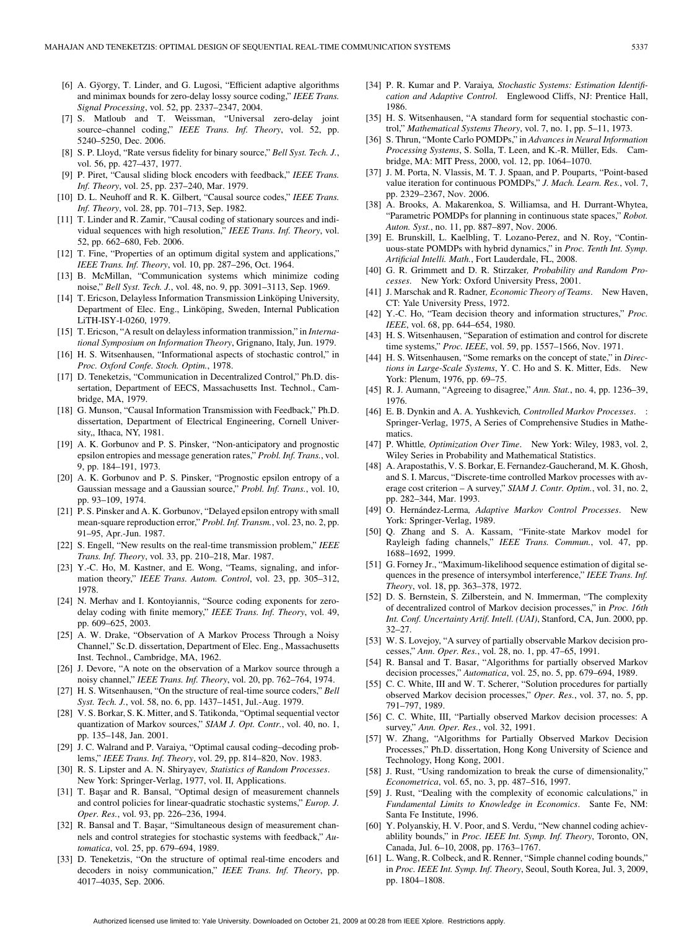- [6] A. Gÿorgy, T. Linder, and G. Lugosi, "Efficient adaptive algorithms and minimax bounds for zero-delay lossy source coding," *IEEE Trans. Signal Processing*, vol. 52, pp. 2337–2347, 2004.
- [7] S. Matloub and T. Weissman, "Universal zero-delay joint source–channel coding," *IEEE Trans. Inf. Theory*, vol. 52, pp. 5240–5250, Dec. 2006.
- [8] S. P. Lloyd, "Rate versus fidelity for binary source," *Bell Syst. Tech. J.*, vol. 56, pp. 427–437, 1977.
- [9] P. Piret, "Causal sliding block encoders with feedback," *IEEE Trans. Inf. Theory*, vol. 25, pp. 237–240, Mar. 1979.
- [10] D. L. Neuhoff and R. K. Gilbert, "Causal source codes," *IEEE Trans. Inf. Theory*, vol. 28, pp. 701–713, Sep. 1982.
- [11] T. Linder and R. Zamir, "Causal coding of stationary sources and individual sequences with high resolution," *IEEE Trans. Inf. Theory*, vol. 52, pp. 662–680, Feb. 2006.
- [12] T. Fine, "Properties of an optimum digital system and applications," *IEEE Trans. Inf. Theory*, vol. 10, pp. 287–296, Oct. 1964.
- [13] B. McMillan, "Communication systems which minimize coding noise," *Bell Syst. Tech. J.*, vol. 48, no. 9, pp. 3091–3113, Sep. 1969.
- [14] T. Ericson, Delayless Information Transmission Linköping University, Department of Elec. Eng., Linköping, Sweden, Internal Publication LiTH-ISY-I-0260, 1979.
- [15] T. Ericson, "A result on delayless information tranmission," in *International Symposium on Information Theory*, Grignano, Italy, Jun. 1979.
- [16] H. S. Witsenhausen, "Informational aspects of stochastic control," in *Proc. Oxford Confe. Stoch. Optim.*, 1978.
- [17] D. Teneketzis, "Communication in Decentralized Control," Ph.D. dissertation, Department of EECS, Massachusetts Inst. Technol., Cambridge, MA, 1979.
- [18] G. Munson, "Causal Information Transmission with Feedback," Ph.D. dissertation, Department of Electrical Engineering, Cornell University,, Ithaca, NY, 1981.
- [19] A. K. Gorbunov and P. S. Pinsker, "Non-anticipatory and prognostic epsilon entropies and message generation rates," *Probl. Inf. Trans.*, vol. 9, pp. 184–191, 1973.
- [20] A. K. Gorbunov and P. S. Pinsker, "Prognostic epsilon entropy of a Gaussian message and a Gaussian source," *Probl. Inf. Trans.*, vol. 10, pp. 93–109, 1974.
- [21] P. S. Pinsker and A. K. Gorbunov, "Delayed epsilon entropy with small mean-square reproduction error," *Probl. Inf. Transm.*, vol. 23, no. 2, pp. 91–95, Apr.-Jun. 1987.
- [22] S. Engell, "New results on the real-time transmission problem," *IEEE Trans. Inf. Theory*, vol. 33, pp. 210–218, Mar. 1987.
- [23] Y.-C. Ho, M. Kastner, and E. Wong, "Teams, signaling, and information theory," *IEEE Trans. Autom. Control*, vol. 23, pp. 305–312, 1978.
- [24] N. Merhav and I. Kontoyiannis, "Source coding exponents for zerodelay coding with finite memory," *IEEE Trans. Inf. Theory*, vol. 49, pp. 609–625, 2003.
- [25] A. W. Drake, "Observation of A Markov Process Through a Noisy Channel," Sc.D. dissertation, Department of Elec. Eng., Massachusetts Inst. Technol., Cambridge, MA, 1962.
- [26] J. Devore, "A note on the observation of a Markov source through a noisy channel," *IEEE Trans. Inf. Theory*, vol. 20, pp. 762–764, 1974.
- [27] H. S. Witsenhausen, "On the structure of real-time source coders," *Bell Syst. Tech. J.*, vol. 58, no. 6, pp. 1437–1451, Jul.-Aug. 1979.
- [28] V. S. Borkar, S. K. Mitter, and S. Tatikonda, "Optimal sequential vector quantization of Markov sources," *SIAM J. Opt. Contr.*, vol. 40, no. 1, pp. 135–148, Jan. 2001.
- [29] J. C. Walrand and P. Varaiya, "Optimal causal coding–decoding problems," *IEEE Trans. Inf. Theory*, vol. 29, pp. 814–820, Nov. 1983.
- [30] R. S. Lipster and A. N. Shiryayev*, Statistics of Random Processes*. New York: Springer-Verlag, 1977, vol. II, Applications.
- [31] T. Başar and R. Bansal, "Optimal design of measurement channels and control policies for linear-quadratic stochastic systems," *Europ. J. Oper. Res.*, vol. 93, pp. 226–236, 1994.
- [32] R. Bansal and T. Başar, "Simultaneous design of measurement channels and control strategies for stochastic systems with feedback," *Automatica*, vol. 25, pp. 679–694, 1989.
- [33] D. Teneketzis, "On the structure of optimal real-time encoders and decoders in noisy communication," *IEEE Trans. Inf. Theory*, pp. 4017–4035, Sep. 2006.
- [34] P. R. Kumar and P. Varaiya*, Stochastic Systems: Estimation Identification and Adaptive Control*. Englewood Cliffs, NJ: Prentice Hall, 1986.
- [35] H. S. Witsenhausen, "A standard form for sequential stochastic control," *Mathematical Systems Theory*, vol. 7, no. 1, pp. 5–11, 1973.
- [36] S. Thrun, "Monte Carlo POMDPs," in *Advances in Neural Information Processing Systems*, S. Solla, T. Leen, and K.-R. Müller, Eds. Cambridge, MA: MIT Press, 2000, vol. 12, pp. 1064–1070.
- [37] J. M. Porta, N. Vlassis, M. T. J. Spaan, and P. Pouparts, "Point-based value iteration for continuous POMDPs," *J. Mach. Learn. Res.*, vol. 7, pp. 2329–2367, Nov. 2006.
- [38] A. Brooks, A. Makarenkoa, S. Williamsa, and H. Durrant-Whytea, "Parametric POMDPs for planning in continuous state spaces," *Robot. Auton. Syst.*, no. 11, pp. 887–897, Nov. 2006.
- [39] E. Brunskill, L. Kaelbling, T. Lozano-Perez, and N. Roy, "Continuous-state POMDPs with hybrid dynamics," in *Proc. Tenth Int. Symp. Artificial Intelli. Math.*, Fort Lauderdale, FL, 2008.
- [40] G. R. Grimmett and D. R. Stirzaker*, Probability and Random Processes*. New York: Oxford University Press, 2001.
- [41] J. Marschak and R. Radner*, Economic Theory of Teams*. New Haven, CT: Yale University Press, 1972.
- [42] Y.-C. Ho, "Team decision theory and information structures," *Proc. IEEE*, vol. 68, pp. 644–654, 1980.
- [43] H. S. Witsenhausen, "Separation of estimation and control for discrete time systems," *Proc. IEEE*, vol. 59, pp. 1557–1566, Nov. 1971.
- [44] H. S. Witsenhausen, "Some remarks on the concept of state," in *Directions in Large-Scale Systems*, Y. C. Ho and S. K. Mitter, Eds. New York: Plenum, 1976, pp. 69–75.
- [45] R. J. Aumann, "Agreeing to disagree," *Ann. Stat.*, no. 4, pp. 1236–39, 1976.
- [46] E. B. Dynkin and A. A. Yushkevich*, Controlled Markov Processes*. : Springer-Verlag, 1975, A Series of Comprehensive Studies in Mathematics.
- [47] P. Whittle*, Optimization Over Time*. New York: Wiley, 1983, vol. 2, Wiley Series in Probability and Mathematical Statistics.
- [48] A. Arapostathis, V. S. Borkar, E. Fernandez-Gaucherand, M. K. Ghosh, and S. I. Marcus, "Discrete-time controlled Markov processes with average cost criterion – A survey," *SIAM J. Contr. Optim.*, vol. 31, no. 2, pp. 282–344, Mar. 1993.
- [49] O. Hernández-Lerma*, Adaptive Markov Control Processes*. New York: Springer-Verlag, 1989.
- [50] Q. Zhang and S. A. Kassam, "Finite-state Markov model for Rayleigh fading channels," *IEEE Trans. Commun.*, vol. 47, pp. 1688–1692, 1999.
- [51] G. Forney Jr., "Maximum-likelihood sequence estimation of digital sequences in the presence of intersymbol interference," *IEEE Trans. Inf. Theory*, vol. 18, pp. 363–378, 1972.
- [52] D. S. Bernstein, S. Zilberstein, and N. Immerman, "The complexity of decentralized control of Markov decision processes," in *Proc. 16th Int. Conf. Uncertainty Artif. Intell. (UAI)*, Stanford, CA, Jun. 2000, pp. 32–27.
- [53] W. S. Lovejoy, "A survey of partially observable Markov decision processes," *Ann. Oper. Res.*, vol. 28, no. 1, pp. 47–65, 1991.
- [54] R. Bansal and T. Basar, "Algorithms for partially observed Markov decision processes," *Automatica*, vol. 25, no. 5, pp. 679–694, 1989.
- [55] C. C. White, III and W. T. Scherer, "Solution procedures for partially observed Markov decision processes," *Oper. Res.*, vol. 37, no. 5, pp. 791–797, 1989.
- [56] C. C. White, III, "Partially observed Markov decision processes: A survey," *Ann. Oper. Res.*, vol. 32, 1991.
- [57] W. Zhang, "Algorithms for Partially Observed Markov Decision Processes," Ph.D. dissertation, Hong Kong University of Science and Technology, Hong Kong, 2001.
- [58] J. Rust, "Using randomization to break the curse of dimensionality," *Econometrica*, vol. 65, no. 3, pp. 487–516, 1997.
- [59] J. Rust, "Dealing with the complexity of economic calculations," in *Fundamental Limits to Knowledge in Economics*. Sante Fe, NM: Santa Fe Institute, 1996.
- [60] Y. Polyanskiy, H. V. Poor, and S. Verdu, "New channel coding achievablility bounds," in *Proc. IEEE Int. Symp. Inf. Theory*, Toronto, ON, Canada, Jul. 6–10, 2008, pp. 1763–1767.
- [61] L. Wang, R. Colbeck, and R. Renner, "Simple channel coding bounds," in *Proc. IEEE Int. Symp. Inf. Theory*, Seoul, South Korea, Jul. 3, 2009, pp. 1804–1808.